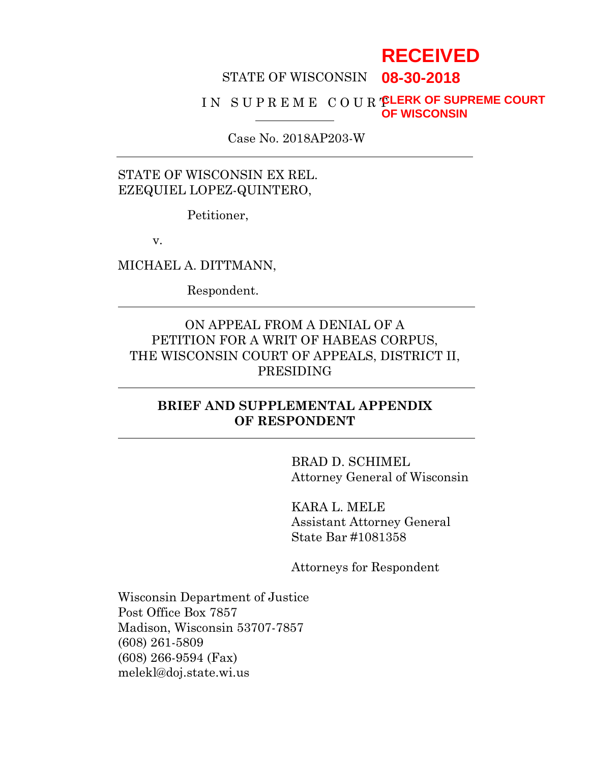# **RECEIVED**

#### STATE OF WISCONSIN **08-30-2018**

#### I N S U P R E M E C O U R T **CLERK OF SUPREME COURT OF WISCONSIN**

Case No. 2018AP203-W

# STATE OF WISCONSIN EX REL. EZEQUIEL LOPEZ-QUINTERO,

Petitioner,

v.

MICHAEL A. DITTMANN,

Respondent.

# ON APPEAL FROM A DENIAL OF A PETITION FOR A WRIT OF HABEAS CORPUS, THE WISCONSIN COURT OF APPEALS, DISTRICT II, PRESIDING

### **BRIEF AND SUPPLEMENTAL APPENDIX OF RESPONDENT**

BRAD D. SCHIMEL Attorney General of Wisconsin

KARA L. MELE Assistant Attorney General State Bar #1081358

Attorneys for Respondent

Wisconsin Department of Justice Post Office Box 7857 Madison, Wisconsin 53707-7857 (608) 261-5809 (608) 266-9594 (Fax) melekl@doj.state.wi.us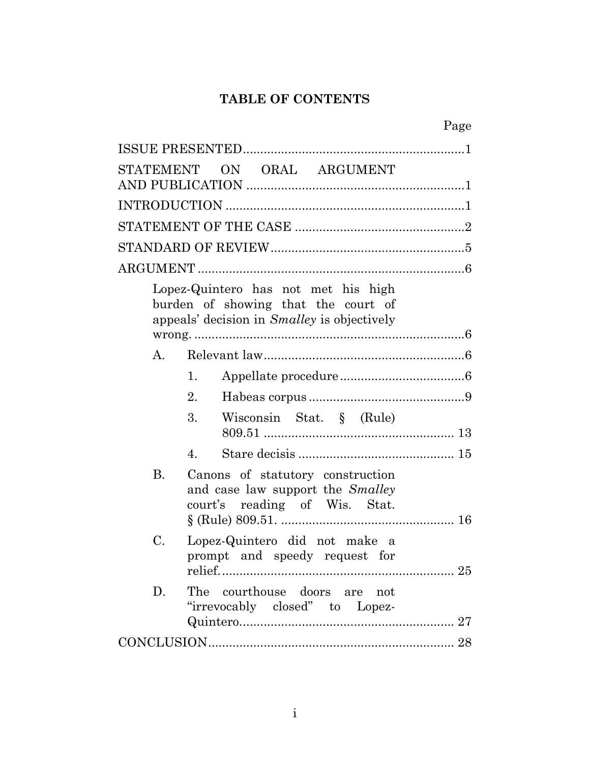# **TABLE OF CONTENTS**

Page

|           | STATEMENT ON ORAL ARGUMENT                                                                                                       |
|-----------|----------------------------------------------------------------------------------------------------------------------------------|
|           |                                                                                                                                  |
|           |                                                                                                                                  |
|           |                                                                                                                                  |
|           |                                                                                                                                  |
|           | Lopez-Quintero has not met his high<br>burden of showing that the court of<br>appeals' decision in <i>Smalley</i> is objectively |
| A.        |                                                                                                                                  |
|           | 1.                                                                                                                               |
|           | 2.                                                                                                                               |
|           | 3.<br>Wisconsin Stat. § (Rule)                                                                                                   |
|           | 4.                                                                                                                               |
| <b>B.</b> | Canons of statutory construction<br>and case law support the <i>Smalley</i><br>court's reading of Wis. Stat.                     |
| C.        | Lopez-Quintero did not make a<br>prompt and speedy request for                                                                   |
| D.        | The courthouse doors are not<br>"irrevocably closed" to Lopez-                                                                   |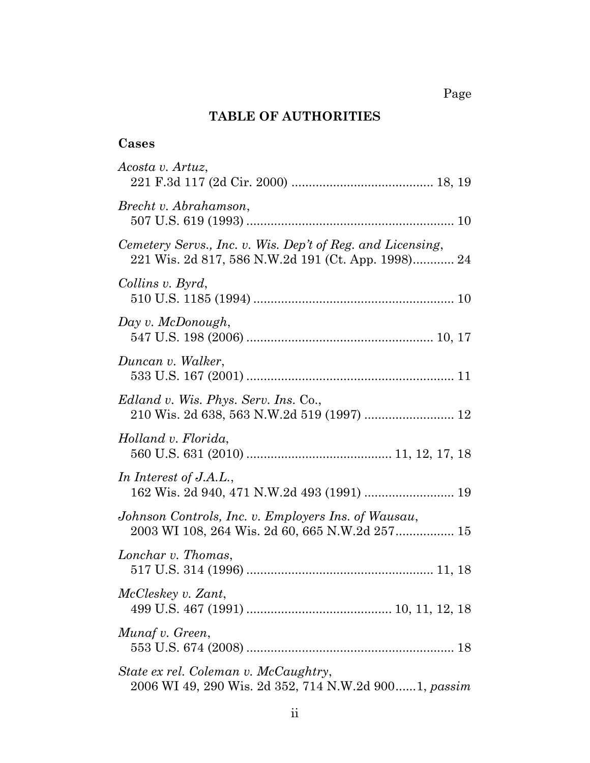# **TABLE OF AUTHORITIES**

# **Cases**

| Acosta v. Artuz,                                                                                                 |
|------------------------------------------------------------------------------------------------------------------|
| Brecht v. Abrahamson,                                                                                            |
| Cemetery Servs., Inc. v. Wis. Dep't of Reg. and Licensing,<br>221 Wis. 2d 817, 586 N.W.2d 191 (Ct. App. 1998) 24 |
| Collins v. Byrd,                                                                                                 |
| Day v. McDonough,                                                                                                |
| Duncan v. Walker,                                                                                                |
| <i>Edland v. Wis. Phys. Serv. Ins.</i> Co.,<br>210 Wis. 2d 638, 563 N.W.2d 519 (1997)  12                        |
| Holland v. Florida,                                                                                              |
| In Interest of J.A.L.,                                                                                           |
| Johnson Controls, Inc. v. Employers Ins. of Wausau,<br>2003 WI 108, 264 Wis. 2d 60, 665 N.W.2d 257 15            |
| Lonchar v. Thomas,                                                                                               |
| McCleskey v. Zant,                                                                                               |
| Munaf v. Green,                                                                                                  |
| State ex rel. Coleman v. McCaughtry,<br>2006 WI 49, 290 Wis. 2d 352, 714 N.W.2d 9001, passim                     |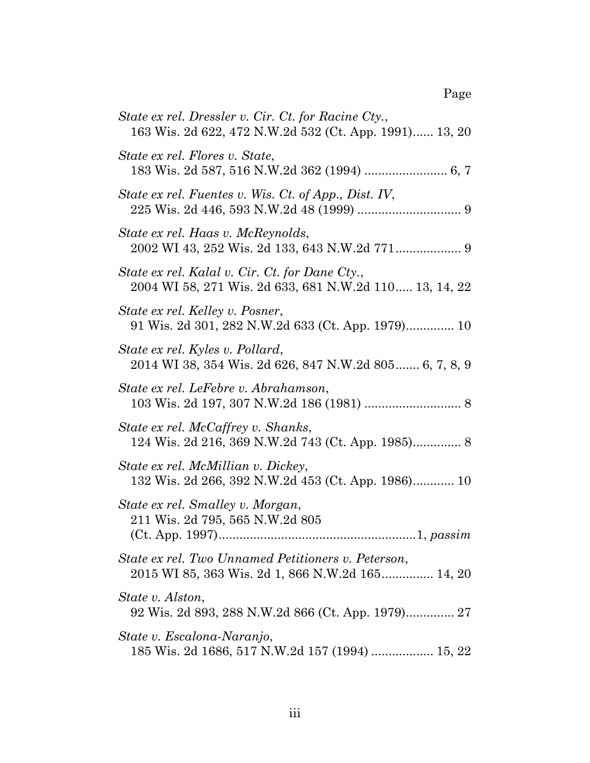| State ex rel. Dressler v. Cir. Ct. for Racine Cty.,<br>163 Wis. 2d 622, 472 N.W.2d 532 (Ct. App. 1991) 13, 20 |
|---------------------------------------------------------------------------------------------------------------|
| State ex rel. Flores v. State,<br>183 Wis. 2d 587, 516 N.W.2d 362 (1994)  6, 7                                |
| State ex rel. Fuentes v. Wis. Ct. of App., Dist. IV,                                                          |
| State ex rel. Haas v. McReynolds,                                                                             |
| State ex rel. Kalal v. Cir. Ct. for Dane Cty.,<br>2004 WI 58, 271 Wis. 2d 633, 681 N.W.2d 110 13, 14, 22      |
| State ex rel. Kelley v. Posner,<br>91 Wis. 2d 301, 282 N.W.2d 633 (Ct. App. 1979) 10                          |
| State ex rel. Kyles v. Pollard,<br>2014 WI 38, 354 Wis. 2d 626, 847 N.W.2d 805 6, 7, 8, 9                     |
| State ex rel. LeFebre v. Abrahamson,                                                                          |
| State ex rel. McCaffrey v. Shanks,                                                                            |
| State ex rel. McMillian v. Dickey,<br>132 Wis. 2d 266, 392 N.W.2d 453 (Ct. App. 1986) 10                      |
| State ex rel. Smalley v. Morgan,<br>211 Wis. 2d 795, 565 N.W.2d 805                                           |
| State ex rel. Two Unnamed Petitioners v. Peterson,<br>2015 WI 85, 363 Wis. 2d 1, 866 N.W.2d 165 14, 20        |
| State v. Alston,                                                                                              |
| State v. Escalona-Naranjo,<br>185 Wis. 2d 1686, 517 N.W.2d 157 (1994)  15, 22                                 |

Page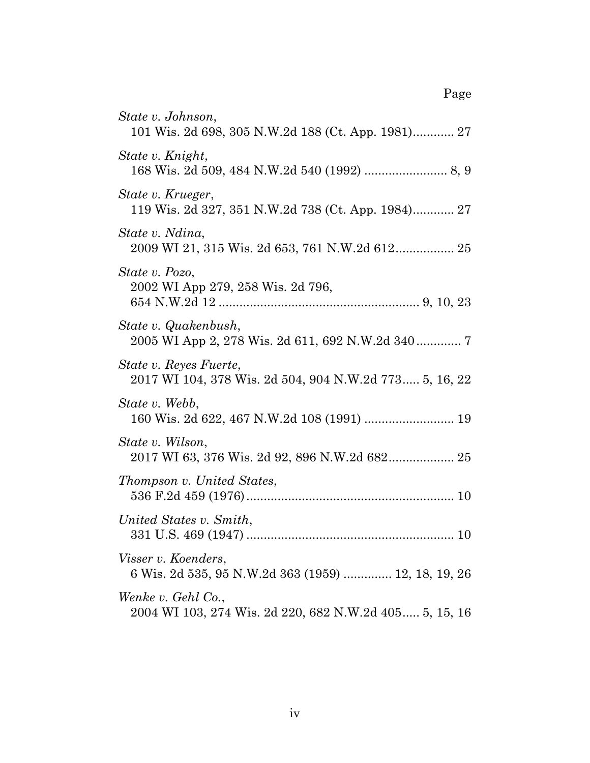| State v. Johnson,<br>101 Wis. 2d 698, 305 N.W.2d 188 (Ct. App. 1981) 27           |
|-----------------------------------------------------------------------------------|
| State v. Knight,                                                                  |
| State v. Krueger,<br>119 Wis. 2d 327, 351 N.W.2d 738 (Ct. App. 1984) 27           |
| State v. Ndina,                                                                   |
| State v. Pozo,<br>2002 WI App 279, 258 Wis. 2d 796,                               |
| State v. Quakenbush,<br>2005 WI App 2, 278 Wis. 2d 611, 692 N.W.2d 340 7          |
| State v. Reyes Fuerte,<br>2017 WI 104, 378 Wis. 2d 504, 904 N.W.2d 773 5, 16, 22  |
| State v. Webb,<br>160 Wis. 2d 622, 467 N.W.2d 108 (1991)  19                      |
| State v. Wilson,<br>2017 WI 63, 376 Wis. 2d 92, 896 N.W.2d 682 25                 |
| Thompson v. United States,                                                        |
| United States v. Smith,<br>331 U.S. 469 (1947)<br>10                              |
| <i>Visser v. Koenders,</i><br>6 Wis. 2d 535, 95 N.W.2d 363 (1959)  12, 18, 19, 26 |
| Wenke v. Gehl Co.,<br>2004 WI 103, 274 Wis. 2d 220, 682 N.W.2d 405 5, 15, 16      |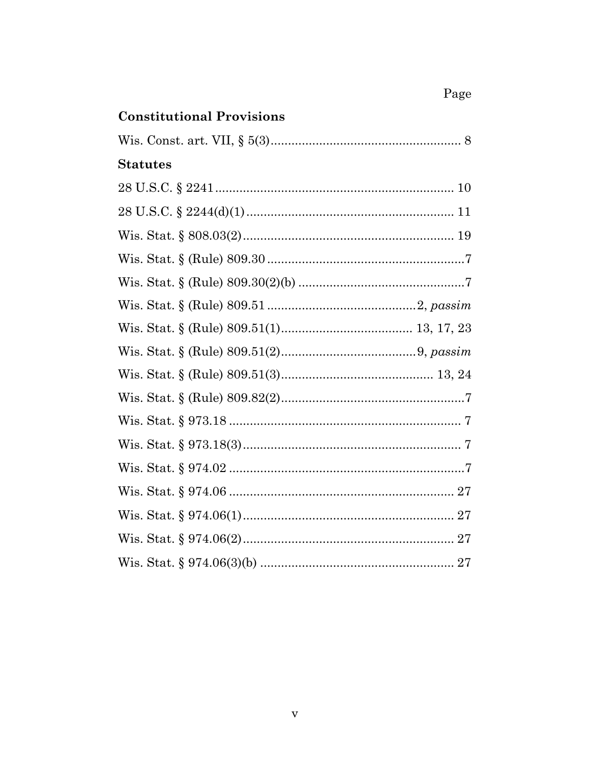# Page

# **Constitutional Provisions**

| <b>Statutes</b>                              |
|----------------------------------------------|
|                                              |
| 28 U.S.C. $\frac{2244(d)(1) \dots (11)}{28}$ |
|                                              |
|                                              |
|                                              |
|                                              |
|                                              |
|                                              |
|                                              |
|                                              |
|                                              |
|                                              |
|                                              |
|                                              |
|                                              |
|                                              |
|                                              |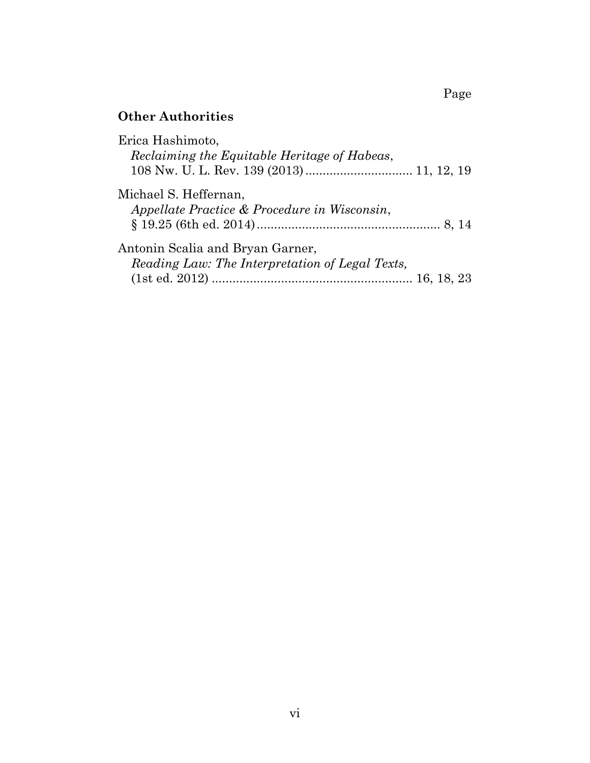# **Other Authorities**

| Erica Hashimoto,<br>Reclaiming the Equitable Heritage of Habeas,                    |  |
|-------------------------------------------------------------------------------------|--|
| Michael S. Heffernan,<br>Appellate Practice & Procedure in Wisconsin,               |  |
| Antonin Scalia and Bryan Garner,<br>Reading Law: The Interpretation of Legal Texts, |  |

Page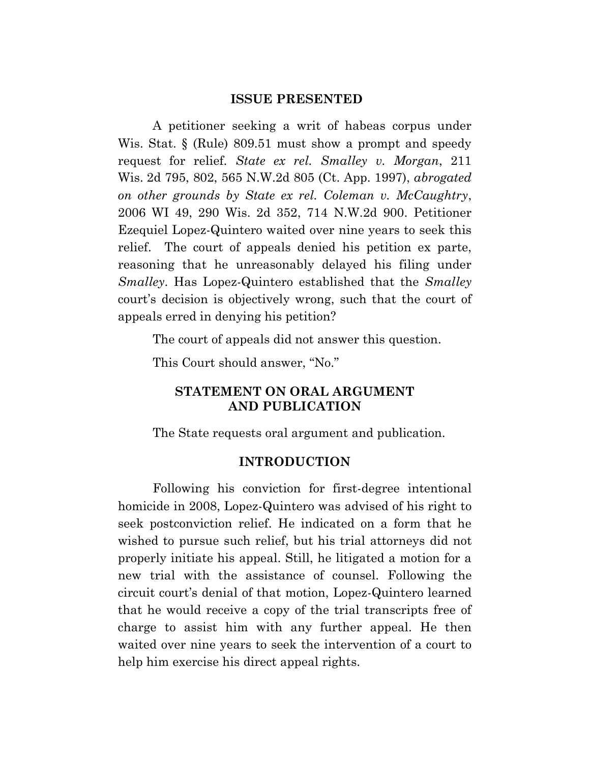#### **ISSUE PRESENTED**

A petitioner seeking a writ of habeas corpus under Wis. Stat. § (Rule) 809.51 must show a prompt and speedy request for relief. *State ex rel. Smalley v. Morgan*, 211 Wis. 2d 795, 802, 565 N.W.2d 805 (Ct. App. 1997), *abrogated on other grounds by State ex rel. Coleman v. McCaughtry*, 2006 WI 49, 290 Wis. 2d 352, 714 N.W.2d 900. Petitioner Ezequiel Lopez-Quintero waited over nine years to seek this relief. The court of appeals denied his petition ex parte, reasoning that he unreasonably delayed his filing under *Smalley*. Has Lopez-Quintero established that the *Smalley*  court's decision is objectively wrong, such that the court of appeals erred in denying his petition?

The court of appeals did not answer this question.

This Court should answer, "No."

### **STATEMENT ON ORAL ARGUMENT AND PUBLICATION**

The State requests oral argument and publication.

#### **INTRODUCTION**

Following his conviction for first-degree intentional homicide in 2008, Lopez-Quintero was advised of his right to seek postconviction relief. He indicated on a form that he wished to pursue such relief, but his trial attorneys did not properly initiate his appeal. Still, he litigated a motion for a new trial with the assistance of counsel. Following the circuit court's denial of that motion, Lopez-Quintero learned that he would receive a copy of the trial transcripts free of charge to assist him with any further appeal. He then waited over nine years to seek the intervention of a court to help him exercise his direct appeal rights.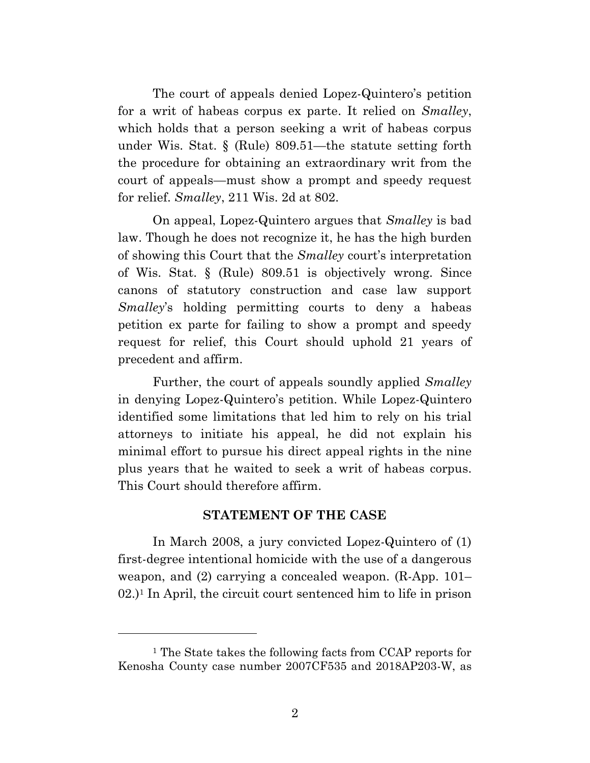The court of appeals denied Lopez-Quintero's petition for a writ of habeas corpus ex parte. It relied on *Smalley*, which holds that a person seeking a writ of habeas corpus under Wis. Stat. § (Rule) 809.51—the statute setting forth the procedure for obtaining an extraordinary writ from the court of appeals—must show a prompt and speedy request for relief. *Smalley*, 211 Wis. 2d at 802.

On appeal, Lopez-Quintero argues that *Smalley* is bad law. Though he does not recognize it, he has the high burden of showing this Court that the *Smalley* court's interpretation of Wis. Stat. § (Rule) 809.51 is objectively wrong. Since canons of statutory construction and case law support *Smalley*'s holding permitting courts to deny a habeas petition ex parte for failing to show a prompt and speedy request for relief, this Court should uphold 21 years of precedent and affirm.

Further, the court of appeals soundly applied *Smalley* in denying Lopez-Quintero's petition. While Lopez-Quintero identified some limitations that led him to rely on his trial attorneys to initiate his appeal, he did not explain his minimal effort to pursue his direct appeal rights in the nine plus years that he waited to seek a writ of habeas corpus. This Court should therefore affirm.

#### **STATEMENT OF THE CASE**

In March 2008, a jury convicted Lopez-Quintero of (1) first-degree intentional homicide with the use of a dangerous weapon, and (2) carrying a concealed weapon. (R-App. 101– 02.)<sup>1</sup> In April, the circuit court sentenced him to life in prison

<sup>1</sup> The State takes the following facts from CCAP reports for Kenosha County case number 2007CF535 and 2018AP203-W, as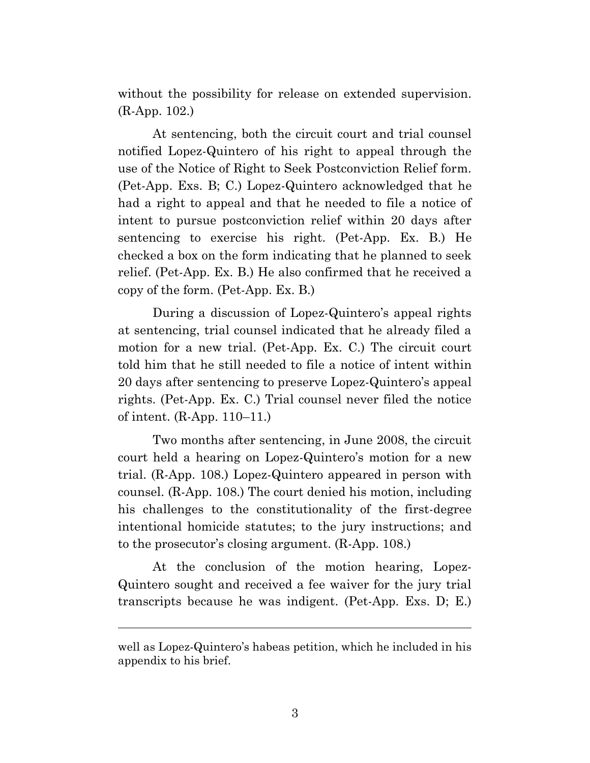without the possibility for release on extended supervision. (R-App. 102.)

At sentencing, both the circuit court and trial counsel notified Lopez-Quintero of his right to appeal through the use of the Notice of Right to Seek Postconviction Relief form. (Pet-App. Exs. B; C.) Lopez-Quintero acknowledged that he had a right to appeal and that he needed to file a notice of intent to pursue postconviction relief within 20 days after sentencing to exercise his right. (Pet-App. Ex. B.) He checked a box on the form indicating that he planned to seek relief. (Pet-App. Ex. B.) He also confirmed that he received a copy of the form. (Pet-App. Ex. B.)

During a discussion of Lopez-Quintero's appeal rights at sentencing, trial counsel indicated that he already filed a motion for a new trial. (Pet-App. Ex. C.) The circuit court told him that he still needed to file a notice of intent within 20 days after sentencing to preserve Lopez-Quintero's appeal rights. (Pet-App. Ex. C.) Trial counsel never filed the notice of intent. (R-App. 110–11.)

Two months after sentencing, in June 2008, the circuit court held a hearing on Lopez-Quintero's motion for a new trial. (R-App. 108.) Lopez-Quintero appeared in person with counsel. (R-App. 108.) The court denied his motion, including his challenges to the constitutionality of the first-degree intentional homicide statutes; to the jury instructions; and to the prosecutor's closing argument. (R-App. 108.)

At the conclusion of the motion hearing, Lopez-Quintero sought and received a fee waiver for the jury trial transcripts because he was indigent. (Pet-App. Exs. D; E.)

well as Lopez-Quintero's habeas petition, which he included in his appendix to his brief.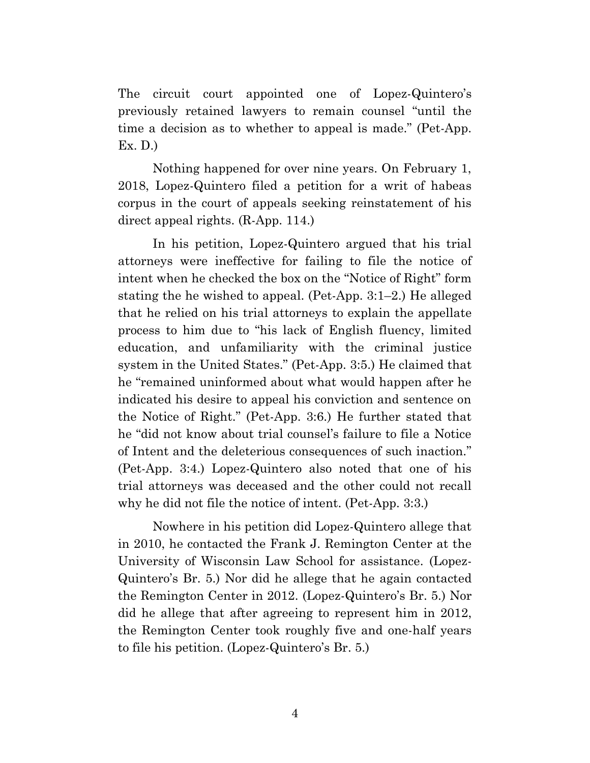The circuit court appointed one of Lopez-Quintero's previously retained lawyers to remain counsel "until the time a decision as to whether to appeal is made." (Pet-App. Ex. D.)

Nothing happened for over nine years. On February 1, 2018, Lopez-Quintero filed a petition for a writ of habeas corpus in the court of appeals seeking reinstatement of his direct appeal rights. (R-App. 114.)

In his petition, Lopez-Quintero argued that his trial attorneys were ineffective for failing to file the notice of intent when he checked the box on the "Notice of Right" form stating the he wished to appeal. (Pet-App. 3:1–2.) He alleged that he relied on his trial attorneys to explain the appellate process to him due to "his lack of English fluency, limited education, and unfamiliarity with the criminal justice system in the United States." (Pet-App. 3:5.) He claimed that he "remained uninformed about what would happen after he indicated his desire to appeal his conviction and sentence on the Notice of Right." (Pet-App. 3:6.) He further stated that he "did not know about trial counsel's failure to file a Notice of Intent and the deleterious consequences of such inaction." (Pet-App. 3:4.) Lopez-Quintero also noted that one of his trial attorneys was deceased and the other could not recall why he did not file the notice of intent. (Pet-App. 3:3.)

Nowhere in his petition did Lopez-Quintero allege that in 2010, he contacted the Frank J. Remington Center at the University of Wisconsin Law School for assistance. (Lopez-Quintero's Br. 5.) Nor did he allege that he again contacted the Remington Center in 2012. (Lopez-Quintero's Br. 5.) Nor did he allege that after agreeing to represent him in 2012, the Remington Center took roughly five and one-half years to file his petition. (Lopez-Quintero's Br. 5.)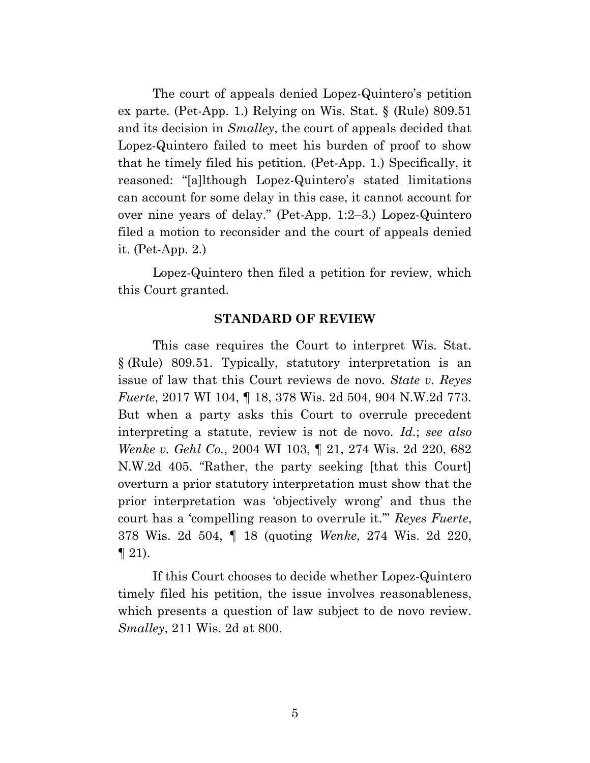The court of appeals denied Lopez-Quintero's petition ex parte. (Pet-App. 1.) Relying on Wis. Stat. § (Rule) 809.51 and its decision in *Smalley*, the court of appeals decided that Lopez-Quintero failed to meet his burden of proof to show that he timely filed his petition. (Pet-App. 1.) Specifically, it reasoned: "[a]lthough Lopez-Quintero's stated limitations can account for some delay in this case, it cannot account for over nine years of delay." (Pet-App. 1:2–3.) Lopez-Quintero filed a motion to reconsider and the court of appeals denied it. (Pet-App. 2.)

Lopez-Quintero then filed a petition for review, which this Court granted.

#### **STANDARD OF REVIEW**

This case requires the Court to interpret Wis. Stat. § (Rule) 809.51. Typically, statutory interpretation is an issue of law that this Court reviews de novo. *State v. Reyes Fuerte*, 2017 WI 104, ¶ 18, 378 Wis. 2d 504, 904 N.W.2d 773. But when a party asks this Court to overrule precedent interpreting a statute, review is not de novo. *Id.*; *see also Wenke v. Gehl Co.*, 2004 WI 103, ¶ 21, 274 Wis. 2d 220, 682 N.W.2d 405. "Rather, the party seeking [that this Court] overturn a prior statutory interpretation must show that the prior interpretation was 'objectively wrong' and thus the court has a 'compelling reason to overrule it.'" *Reyes Fuerte*, 378 Wis. 2d 504, ¶ 18 (quoting *Wenke*, 274 Wis. 2d 220,  $\P$  21).

If this Court chooses to decide whether Lopez-Quintero timely filed his petition, the issue involves reasonableness, which presents a question of law subject to de novo review. *Smalley*, 211 Wis. 2d at 800.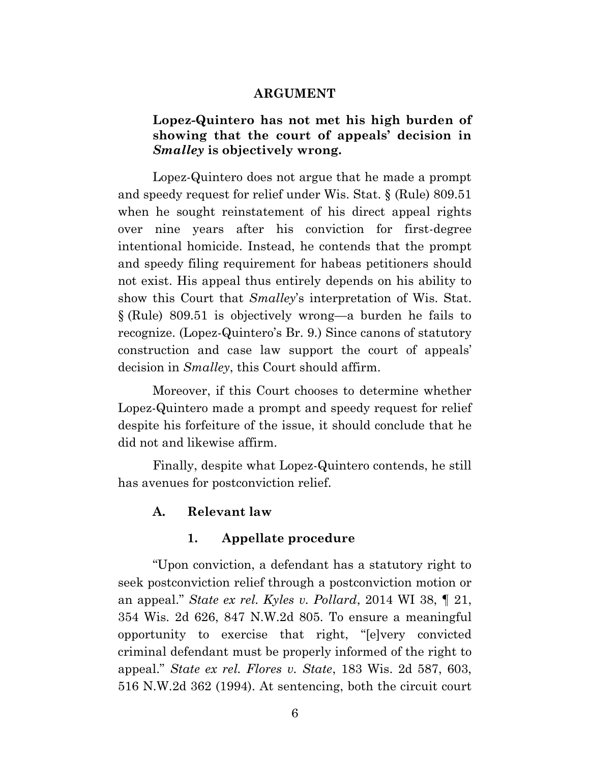#### **ARGUMENT**

# **Lopez-Quintero has not met his high burden of showing that the court of appeals' decision in**  *Smalley* **is objectively wrong.**

Lopez-Quintero does not argue that he made a prompt and speedy request for relief under Wis. Stat. § (Rule) 809.51 when he sought reinstatement of his direct appeal rights over nine years after his conviction for first-degree intentional homicide. Instead, he contends that the prompt and speedy filing requirement for habeas petitioners should not exist. His appeal thus entirely depends on his ability to show this Court that *Smalley*'s interpretation of Wis. Stat. § (Rule) 809.51 is objectively wrong—a burden he fails to recognize. (Lopez-Quintero's Br. 9.) Since canons of statutory construction and case law support the court of appeals' decision in *Smalley*, this Court should affirm.

Moreover, if this Court chooses to determine whether Lopez-Quintero made a prompt and speedy request for relief despite his forfeiture of the issue, it should conclude that he did not and likewise affirm.

Finally, despite what Lopez-Quintero contends, he still has avenues for postconviction relief.

#### **A. Relevant law**

#### **1. Appellate procedure**

"Upon conviction, a defendant has a statutory right to seek postconviction relief through a postconviction motion or an appeal." *State ex rel. Kyles v. Pollard*, 2014 WI 38, ¶ 21, 354 Wis. 2d 626, 847 N.W.2d 805. To ensure a meaningful opportunity to exercise that right, "[e]very convicted criminal defendant must be properly informed of the right to appeal." *State ex rel. Flores v. State*, 183 Wis. 2d 587, 603, 516 N.W.2d 362 (1994). At sentencing, both the circuit court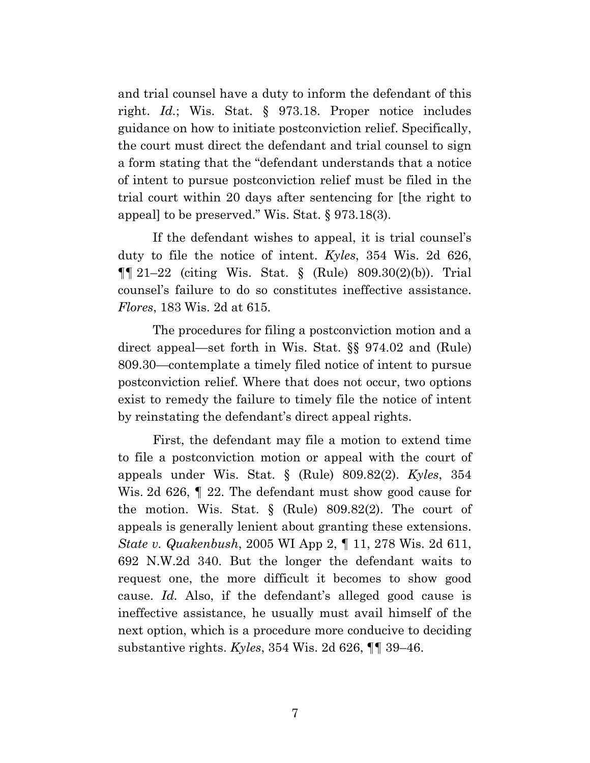and trial counsel have a duty to inform the defendant of this right. *Id.*; Wis. Stat. § 973.18. Proper notice includes guidance on how to initiate postconviction relief. Specifically, the court must direct the defendant and trial counsel to sign a form stating that the "defendant understands that a notice of intent to pursue postconviction relief must be filed in the trial court within 20 days after sentencing for [the right to appeal] to be preserved." Wis. Stat. § 973.18(3).

If the defendant wishes to appeal, it is trial counsel's duty to file the notice of intent. *Kyles*, 354 Wis. 2d 626,  $\P\P$  21–22 (citing Wis. Stat. § (Rule) 809.30(2)(b)). Trial counsel's failure to do so constitutes ineffective assistance. *Flores*, 183 Wis. 2d at 615.

The procedures for filing a postconviction motion and a direct appeal—set forth in Wis. Stat. §§ 974.02 and (Rule) 809.30—contemplate a timely filed notice of intent to pursue postconviction relief. Where that does not occur, two options exist to remedy the failure to timely file the notice of intent by reinstating the defendant's direct appeal rights.

First, the defendant may file a motion to extend time to file a postconviction motion or appeal with the court of appeals under Wis. Stat. § (Rule) 809.82(2). *Kyles*, 354 Wis. 2d 626, ¶ 22. The defendant must show good cause for the motion. Wis. Stat. § (Rule) 809.82(2). The court of appeals is generally lenient about granting these extensions. *State v. Quakenbush*, 2005 WI App 2, ¶ 11, 278 Wis. 2d 611, 692 N.W.2d 340. But the longer the defendant waits to request one, the more difficult it becomes to show good cause. *Id.* Also, if the defendant's alleged good cause is ineffective assistance, he usually must avail himself of the next option, which is a procedure more conducive to deciding substantive rights. *Kyles*, 354 Wis. 2d 626, ¶¶ 39–46.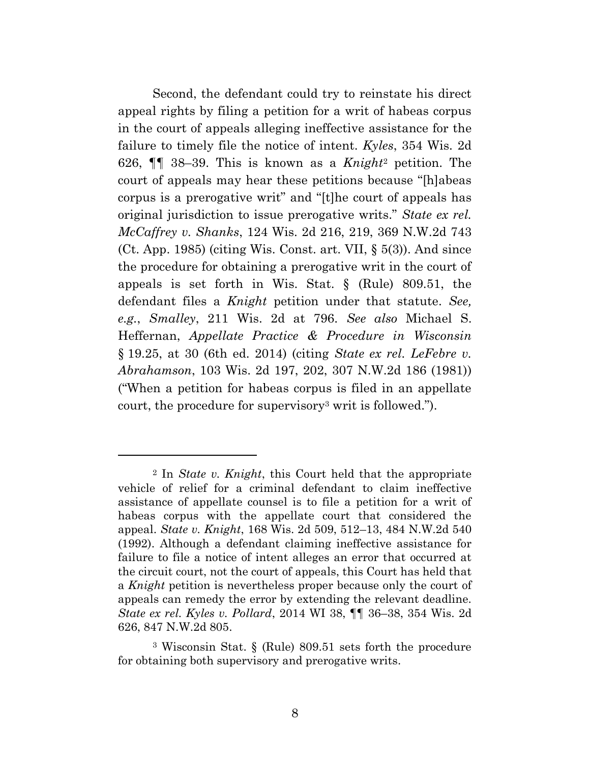Second, the defendant could try to reinstate his direct appeal rights by filing a petition for a writ of habeas corpus in the court of appeals alleging ineffective assistance for the failure to timely file the notice of intent. *Kyles*, 354 Wis. 2d 626, ¶¶ 38–39. This is known as a *Knight*<sup>2</sup> petition. The court of appeals may hear these petitions because "[h]abeas corpus is a prerogative writ" and "[t]he court of appeals has original jurisdiction to issue prerogative writs." *State ex rel. McCaffrey v. Shanks*, 124 Wis. 2d 216, 219, 369 N.W.2d 743 (Ct. App. 1985) (citing Wis. Const. art. VII,  $\S$  5(3)). And since the procedure for obtaining a prerogative writ in the court of appeals is set forth in Wis. Stat. § (Rule) 809.51, the defendant files a *Knight* petition under that statute. *See, e.g.*, *Smalley*, 211 Wis. 2d at 796. *See also* Michael S. Heffernan, *Appellate Practice & Procedure in Wisconsin* § 19.25, at 30 (6th ed. 2014) (citing *State ex rel. LeFebre v. Abrahamson*, 103 Wis. 2d 197, 202, 307 N.W.2d 186 (1981)) ("When a petition for habeas corpus is filed in an appellate court, the procedure for supervisory<sup>3</sup> writ is followed.").

<sup>2</sup> In *State v. Knight*, this Court held that the appropriate vehicle of relief for a criminal defendant to claim ineffective assistance of appellate counsel is to file a petition for a writ of habeas corpus with the appellate court that considered the appeal. *State v. Knight*, 168 Wis. 2d 509, 512–13, 484 N.W.2d 540 (1992). Although a defendant claiming ineffective assistance for failure to file a notice of intent alleges an error that occurred at the circuit court, not the court of appeals, this Court has held that a *Knight* petition is nevertheless proper because only the court of appeals can remedy the error by extending the relevant deadline. *State ex rel. Kyles v. Pollard*, 2014 WI 38, ¶¶ 36–38, 354 Wis. 2d 626, 847 N.W.2d 805.

<sup>3</sup> Wisconsin Stat. § (Rule) 809.51 sets forth the procedure for obtaining both supervisory and prerogative writs.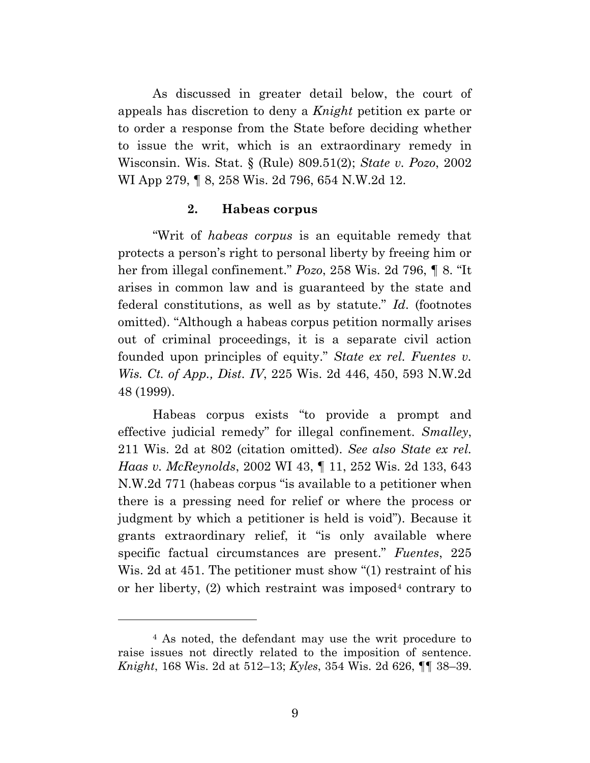As discussed in greater detail below, the court of appeals has discretion to deny a *Knight* petition ex parte or to order a response from the State before deciding whether to issue the writ, which is an extraordinary remedy in Wisconsin. Wis. Stat. § (Rule) 809.51(2); *State v. Pozo*, 2002 WI App 279, ¶ 8, 258 Wis. 2d 796, 654 N.W.2d 12.

#### **2. Habeas corpus**

"Writ of *habeas corpus* is an equitable remedy that protects a person's right to personal liberty by freeing him or her from illegal confinement." *Pozo*, 258 Wis. 2d 796, ¶ 8. "It arises in common law and is guaranteed by the state and federal constitutions, as well as by statute." *Id*. (footnotes omitted). "Although a habeas corpus petition normally arises out of criminal proceedings, it is a separate civil action founded upon principles of equity." *State ex rel. Fuentes v. Wis. Ct. of App., Dist. IV*, 225 Wis. 2d 446, 450, 593 N.W.2d 48 (1999).

Habeas corpus exists "to provide a prompt and effective judicial remedy" for illegal confinement. *Smalley*, 211 Wis. 2d at 802 (citation omitted). *See also State ex rel. Haas v. McReynolds*, 2002 WI 43, ¶ 11, 252 Wis. 2d 133, 643 N.W.2d 771 (habeas corpus "is available to a petitioner when there is a pressing need for relief or where the process or judgment by which a petitioner is held is void"). Because it grants extraordinary relief, it "is only available where specific factual circumstances are present." *Fuentes*, 225 Wis. 2d at 451. The petitioner must show "(1) restraint of his or her liberty,  $(2)$  which restraint was imposed<sup>4</sup> contrary to

<sup>4</sup> As noted, the defendant may use the writ procedure to raise issues not directly related to the imposition of sentence. *Knight*, 168 Wis. 2d at 512–13; *Kyles*, 354 Wis. 2d 626, ¶¶ 38–39.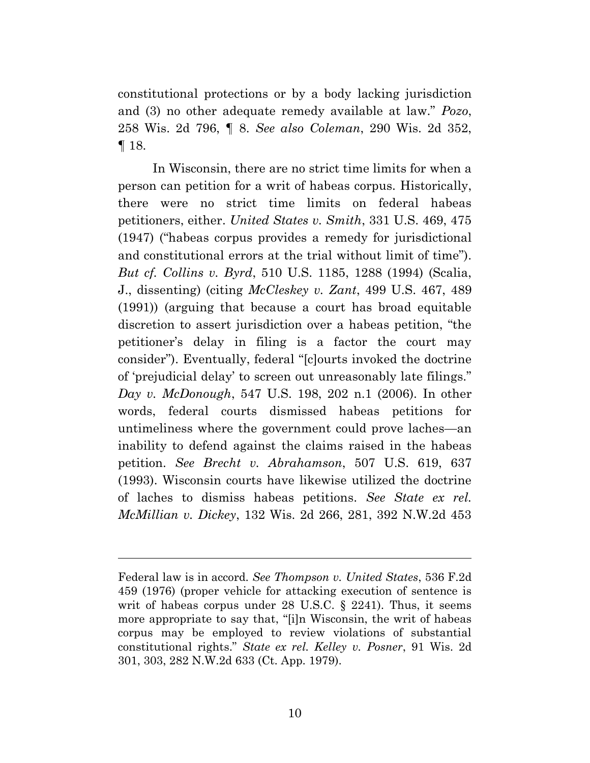constitutional protections or by a body lacking jurisdiction and (3) no other adequate remedy available at law." *Pozo*, 258 Wis. 2d 796, ¶ 8. *See also Coleman*, 290 Wis. 2d 352, ¶ 18.

In Wisconsin, there are no strict time limits for when a person can petition for a writ of habeas corpus. Historically, there were no strict time limits on federal habeas petitioners, either. *United States v. Smith*, 331 U.S. 469, 475 (1947) ("habeas corpus provides a remedy for jurisdictional and constitutional errors at the trial without limit of time"). *But cf. Collins v. Byrd*, 510 U.S. 1185, 1288 (1994) (Scalia, J., dissenting) (citing *McCleskey v. Zant*, 499 U.S. 467, 489 (1991)) (arguing that because a court has broad equitable discretion to assert jurisdiction over a habeas petition, "the petitioner's delay in filing is a factor the court may consider"). Eventually, federal "[c]ourts invoked the doctrine of 'prejudicial delay' to screen out unreasonably late filings." *Day v. McDonough*, 547 U.S. 198, 202 n.1 (2006). In other words, federal courts dismissed habeas petitions for untimeliness where the government could prove laches—an inability to defend against the claims raised in the habeas petition. *See Brecht v. Abrahamson*, 507 U.S. 619, 637 (1993). Wisconsin courts have likewise utilized the doctrine of laches to dismiss habeas petitions. *See State ex rel. McMillian v. Dickey*, 132 Wis. 2d 266, 281, 392 N.W.2d 453

Federal law is in accord. *See Thompson v. United States*, 536 F.2d 459 (1976) (proper vehicle for attacking execution of sentence is writ of habeas corpus under 28 U.S.C. § 2241). Thus, it seems more appropriate to say that, "[i]n Wisconsin, the writ of habeas corpus may be employed to review violations of substantial constitutional rights." *State ex rel. Kelley v. Posner*, 91 Wis. 2d 301, 303, 282 N.W.2d 633 (Ct. App. 1979).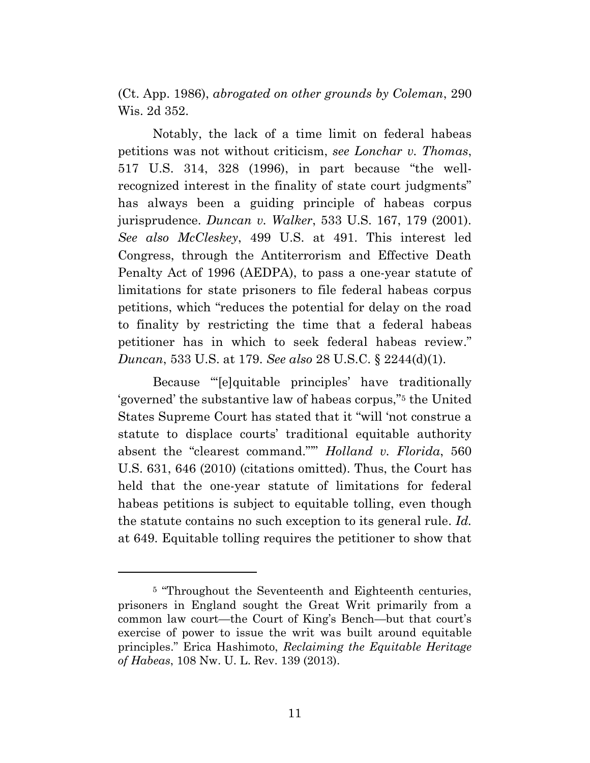(Ct. App. 1986), *abrogated on other grounds by Coleman*, 290 Wis. 2d 352.

Notably, the lack of a time limit on federal habeas petitions was not without criticism, *see Lonchar v. Thomas*, 517 U.S. 314, 328 (1996), in part because "the wellrecognized interest in the finality of state court judgments" has always been a guiding principle of habeas corpus jurisprudence. *Duncan v. Walker*, 533 U.S. 167, 179 (2001). *See also McCleskey*, 499 U.S. at 491. This interest led Congress, through the Antiterrorism and Effective Death Penalty Act of 1996 (AEDPA), to pass a one-year statute of limitations for state prisoners to file federal habeas corpus petitions, which "reduces the potential for delay on the road to finality by restricting the time that a federal habeas petitioner has in which to seek federal habeas review." *Duncan*, 533 U.S. at 179. *See also* 28 U.S.C. § 2244(d)(1).

Because "'[e]quitable principles' have traditionally 'governed' the substantive law of habeas corpus," <sup>5</sup> the United States Supreme Court has stated that it "will 'not construe a statute to displace courts' traditional equitable authority absent the "clearest command."'" *Holland v. Florida*, 560 U.S. 631, 646 (2010) (citations omitted). Thus, the Court has held that the one-year statute of limitations for federal habeas petitions is subject to equitable tolling, even though the statute contains no such exception to its general rule. *Id.*  at 649. Equitable tolling requires the petitioner to show that

<sup>&</sup>lt;sup>5</sup> "Throughout the Seventeenth and Eighteenth centuries, prisoners in England sought the Great Writ primarily from a common law court—the Court of King's Bench—but that court's exercise of power to issue the writ was built around equitable principles." Erica Hashimoto, *Reclaiming the Equitable Heritage of Habeas*, 108 Nw. U. L. Rev. 139 (2013).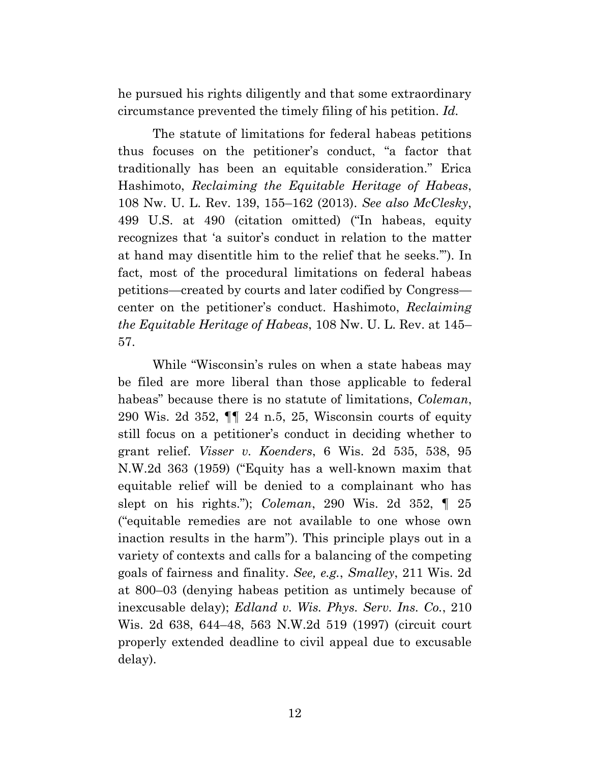he pursued his rights diligently and that some extraordinary circumstance prevented the timely filing of his petition. *Id.*

The statute of limitations for federal habeas petitions thus focuses on the petitioner's conduct, "a factor that traditionally has been an equitable consideration." Erica Hashimoto, *Reclaiming the Equitable Heritage of Habeas*, 108 Nw. U. L. Rev. 139, 155–162 (2013). *See also McClesky*, 499 U.S. at 490 (citation omitted) ("In habeas, equity recognizes that 'a suitor's conduct in relation to the matter at hand may disentitle him to the relief that he seeks.'"). In fact, most of the procedural limitations on federal habeas petitions—created by courts and later codified by Congress center on the petitioner's conduct. Hashimoto, *Reclaiming the Equitable Heritage of Habeas*, 108 Nw. U. L. Rev. at 145– 57.

While "Wisconsin's rules on when a state habeas may be filed are more liberal than those applicable to federal habeas" because there is no statute of limitations, *Coleman*, 290 Wis. 2d 352, ¶¶ 24 n.5, 25, Wisconsin courts of equity still focus on a petitioner's conduct in deciding whether to grant relief. *Visser v. Koenders*, 6 Wis. 2d 535, 538, 95 N.W.2d 363 (1959) ("Equity has a well-known maxim that equitable relief will be denied to a complainant who has slept on his rights."); *Coleman*, 290 Wis. 2d 352, ¶ 25 ("equitable remedies are not available to one whose own inaction results in the harm"). This principle plays out in a variety of contexts and calls for a balancing of the competing goals of fairness and finality. *See, e.g.*, *Smalley*, 211 Wis. 2d at 800–03 (denying habeas petition as untimely because of inexcusable delay); *Edland v. Wis. Phys. Serv. Ins. Co.*, 210 Wis. 2d 638, 644–48, 563 N.W.2d 519 (1997) (circuit court properly extended deadline to civil appeal due to excusable delay).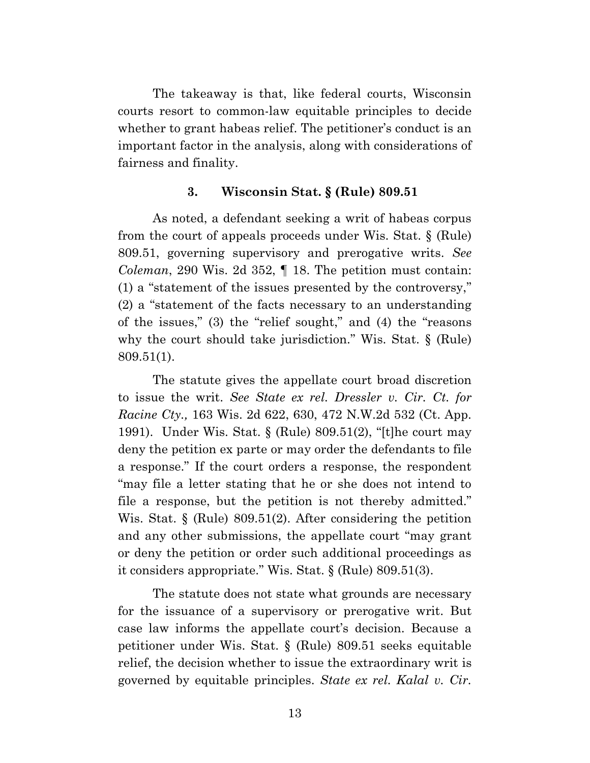The takeaway is that, like federal courts, Wisconsin courts resort to common-law equitable principles to decide whether to grant habeas relief. The petitioner's conduct is an important factor in the analysis, along with considerations of fairness and finality.

#### **3. Wisconsin Stat. § (Rule) 809.51**

As noted, a defendant seeking a writ of habeas corpus from the court of appeals proceeds under Wis. Stat. § (Rule) 809.51, governing supervisory and prerogative writs. *See Coleman*, 290 Wis. 2d 352, ¶ 18. The petition must contain: (1) a "statement of the issues presented by the controversy," (2) a "statement of the facts necessary to an understanding of the issues," (3) the "relief sought," and (4) the "reasons why the court should take jurisdiction." Wis. Stat. § (Rule) 809.51(1).

The statute gives the appellate court broad discretion to issue the writ. *See State ex rel. Dressler v. Cir. Ct. for Racine Cty.,* 163 Wis. 2d 622, 630, 472 N.W.2d 532 (Ct. App. 1991). Under Wis. Stat. § (Rule) 809.51(2), "[t]he court may deny the petition ex parte or may order the defendants to file a response." If the court orders a response, the respondent "may file a letter stating that he or she does not intend to file a response, but the petition is not thereby admitted." Wis. Stat. § (Rule) 809.51(2). After considering the petition and any other submissions, the appellate court "may grant or deny the petition or order such additional proceedings as it considers appropriate." Wis. Stat. § (Rule) 809.51(3).

The statute does not state what grounds are necessary for the issuance of a supervisory or prerogative writ. But case law informs the appellate court's decision. Because a petitioner under Wis. Stat. § (Rule) 809.51 seeks equitable relief, the decision whether to issue the extraordinary writ is governed by equitable principles. *State ex rel. Kalal v. Cir.*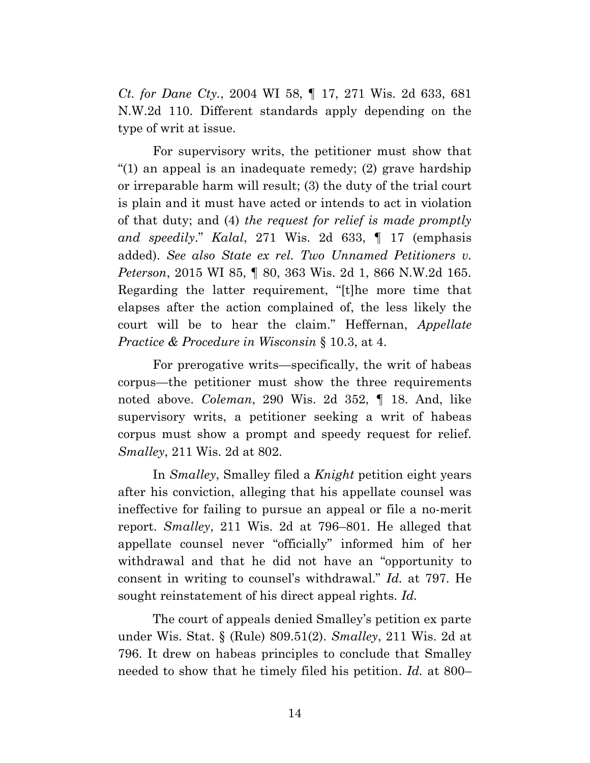*Ct. for Dane Cty.*, 2004 WI 58, ¶ 17, 271 Wis. 2d 633, 681 N.W.2d 110. Different standards apply depending on the type of writ at issue.

For supervisory writs, the petitioner must show that "(1) an appeal is an inadequate remedy; (2) grave hardship or irreparable harm will result; (3) the duty of the trial court is plain and it must have acted or intends to act in violation of that duty; and (4) *the request for relief is made promptly and speedily*." *Kalal*, 271 Wis. 2d 633, ¶ 17 (emphasis added). *See also State ex rel. Two Unnamed Petitioners v. Peterson*, 2015 WI 85, ¶ 80, 363 Wis. 2d 1, 866 N.W.2d 165. Regarding the latter requirement, "[t]he more time that elapses after the action complained of, the less likely the court will be to hear the claim." Heffernan, *Appellate Practice & Procedure in Wisconsin* § 10.3, at 4.

For prerogative writs—specifically, the writ of habeas corpus—the petitioner must show the three requirements noted above. *Coleman*, 290 Wis. 2d 352, ¶ 18. And, like supervisory writs, a petitioner seeking a writ of habeas corpus must show a prompt and speedy request for relief. *Smalley*, 211 Wis. 2d at 802.

In *Smalley*, Smalley filed a *Knight* petition eight years after his conviction, alleging that his appellate counsel was ineffective for failing to pursue an appeal or file a no-merit report. *Smalley*, 211 Wis. 2d at 796–801. He alleged that appellate counsel never "officially" informed him of her withdrawal and that he did not have an "opportunity to consent in writing to counsel's withdrawal." *Id.* at 797. He sought reinstatement of his direct appeal rights. *Id.*

The court of appeals denied Smalley's petition ex parte under Wis. Stat. § (Rule) 809.51(2). *Smalley*, 211 Wis. 2d at 796. It drew on habeas principles to conclude that Smalley needed to show that he timely filed his petition. *Id.* at 800–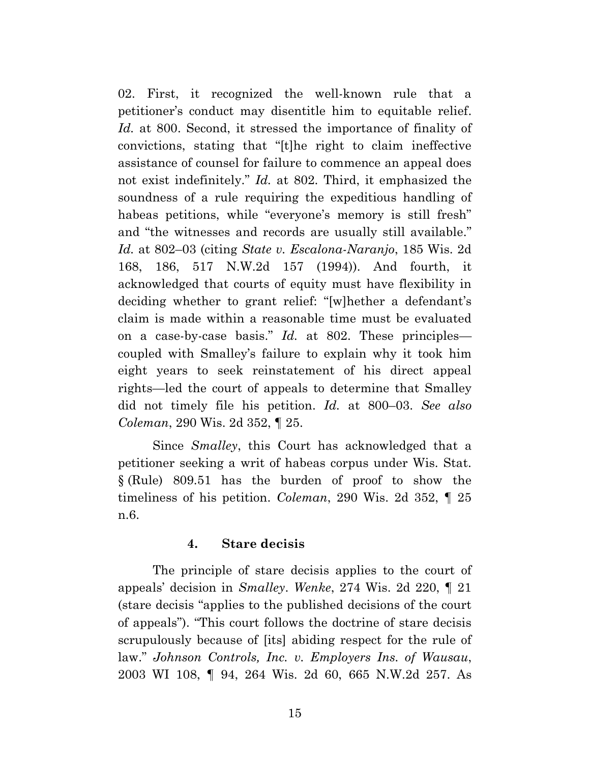02. First, it recognized the well-known rule that a petitioner's conduct may disentitle him to equitable relief. *Id.* at 800. Second, it stressed the importance of finality of convictions, stating that "[t]he right to claim ineffective assistance of counsel for failure to commence an appeal does not exist indefinitely." *Id.* at 802. Third, it emphasized the soundness of a rule requiring the expeditious handling of habeas petitions, while "everyone's memory is still fresh" and "the witnesses and records are usually still available." *Id.* at 802–03 (citing *State v. Escalona-Naranjo*, 185 Wis. 2d 168, 186, 517 N.W.2d 157 (1994)). And fourth, it acknowledged that courts of equity must have flexibility in deciding whether to grant relief: "[w]hether a defendant's claim is made within a reasonable time must be evaluated on a case-by-case basis." *Id.* at 802. These principles coupled with Smalley's failure to explain why it took him eight years to seek reinstatement of his direct appeal rights—led the court of appeals to determine that Smalley did not timely file his petition. *Id.* at 800–03. *See also Coleman*, 290 Wis. 2d 352, ¶ 25.

Since *Smalley*, this Court has acknowledged that a petitioner seeking a writ of habeas corpus under Wis. Stat. § (Rule) 809.51 has the burden of proof to show the timeliness of his petition. *Coleman*, 290 Wis. 2d 352, ¶ 25 n.6.

### **4. Stare decisis**

The principle of stare decisis applies to the court of appeals' decision in *Smalley*. *Wenke*, 274 Wis. 2d 220, ¶ 21 (stare decisis "applies to the published decisions of the court of appeals"). "This court follows the doctrine of stare decisis scrupulously because of [its] abiding respect for the rule of law." *Johnson Controls, Inc. v. Employers Ins. of Wausau*, 2003 WI 108, ¶ 94, 264 Wis. 2d 60, 665 N.W.2d 257. As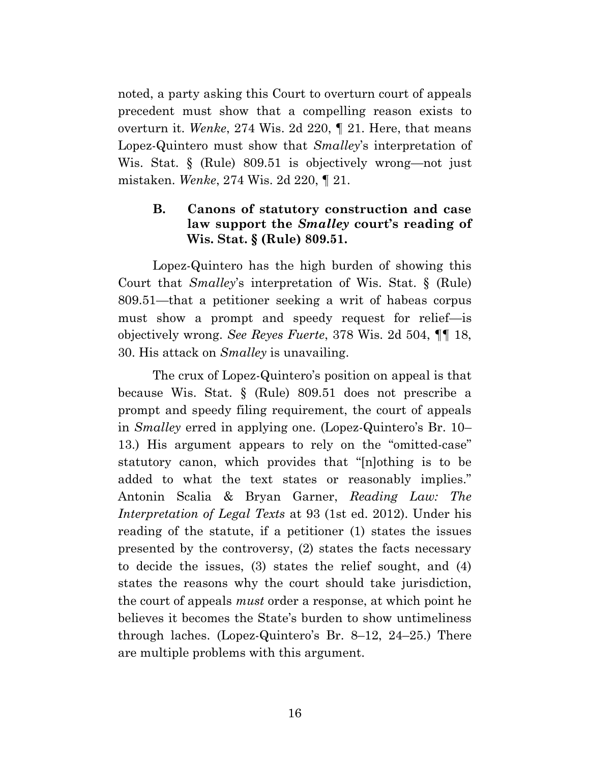noted, a party asking this Court to overturn court of appeals precedent must show that a compelling reason exists to overturn it. *Wenke*, 274 Wis. 2d 220, ¶ 21. Here, that means Lopez-Quintero must show that *Smalley*'s interpretation of Wis. Stat. § (Rule) 809.51 is objectively wrong—not just mistaken. *Wenke*, 274 Wis. 2d 220, ¶ 21.

# **B. Canons of statutory construction and case law support the** *Smalley* **court's reading of Wis. Stat. § (Rule) 809.51.**

Lopez-Quintero has the high burden of showing this Court that *Smalley*'s interpretation of Wis. Stat. § (Rule) 809.51—that a petitioner seeking a writ of habeas corpus must show a prompt and speedy request for relief—is objectively wrong. *See Reyes Fuerte*, 378 Wis. 2d 504, ¶¶ 18, 30. His attack on *Smalley* is unavailing.

The crux of Lopez-Quintero's position on appeal is that because Wis. Stat. § (Rule) 809.51 does not prescribe a prompt and speedy filing requirement, the court of appeals in *Smalley* erred in applying one. (Lopez-Quintero's Br. 10– 13.) His argument appears to rely on the "omitted-case" statutory canon, which provides that "[n]othing is to be added to what the text states or reasonably implies." Antonin Scalia & Bryan Garner, *Reading Law: The Interpretation of Legal Texts* at 93 (1st ed. 2012). Under his reading of the statute, if a petitioner (1) states the issues presented by the controversy, (2) states the facts necessary to decide the issues, (3) states the relief sought, and (4) states the reasons why the court should take jurisdiction, the court of appeals *must* order a response, at which point he believes it becomes the State's burden to show untimeliness through laches. (Lopez-Quintero's Br. 8–12, 24–25.) There are multiple problems with this argument.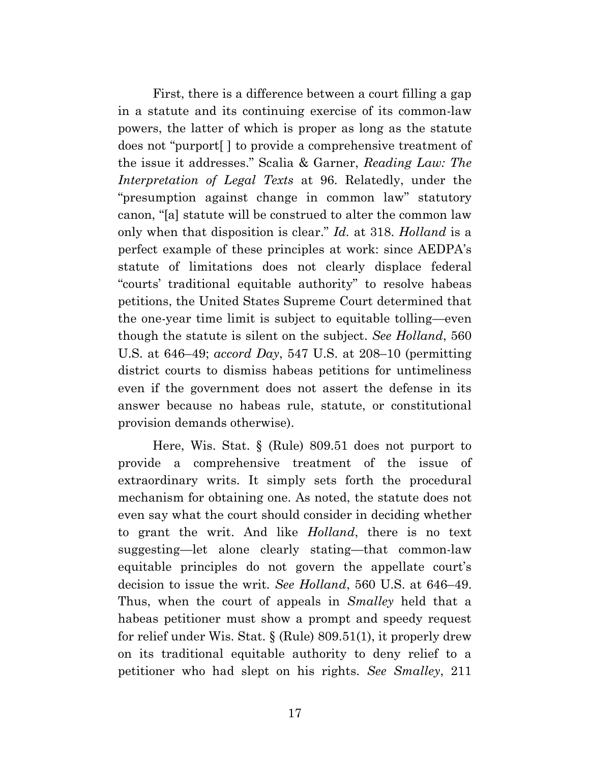First, there is a difference between a court filling a gap in a statute and its continuing exercise of its common-law powers, the latter of which is proper as long as the statute does not "purport[ ] to provide a comprehensive treatment of the issue it addresses." Scalia & Garner, *Reading Law: The Interpretation of Legal Texts* at 96. Relatedly, under the "presumption against change in common law" statutory canon, "[a] statute will be construed to alter the common law only when that disposition is clear." *Id.* at 318. *Holland* is a perfect example of these principles at work: since AEDPA's statute of limitations does not clearly displace federal "courts' traditional equitable authority" to resolve habeas petitions, the United States Supreme Court determined that the one-year time limit is subject to equitable tolling—even though the statute is silent on the subject. *See Holland*, 560 U.S. at 646–49; *accord Day*, 547 U.S. at 208–10 (permitting district courts to dismiss habeas petitions for untimeliness even if the government does not assert the defense in its answer because no habeas rule, statute, or constitutional provision demands otherwise).

Here, Wis. Stat. § (Rule) 809.51 does not purport to provide a comprehensive treatment of the issue of extraordinary writs. It simply sets forth the procedural mechanism for obtaining one. As noted, the statute does not even say what the court should consider in deciding whether to grant the writ. And like *Holland*, there is no text suggesting—let alone clearly stating—that common-law equitable principles do not govern the appellate court's decision to issue the writ. *See Holland*, 560 U.S. at 646–49. Thus, when the court of appeals in *Smalley* held that a habeas petitioner must show a prompt and speedy request for relief under Wis. Stat. § (Rule) 809.51(1), it properly drew on its traditional equitable authority to deny relief to a petitioner who had slept on his rights. *See Smalley*, 211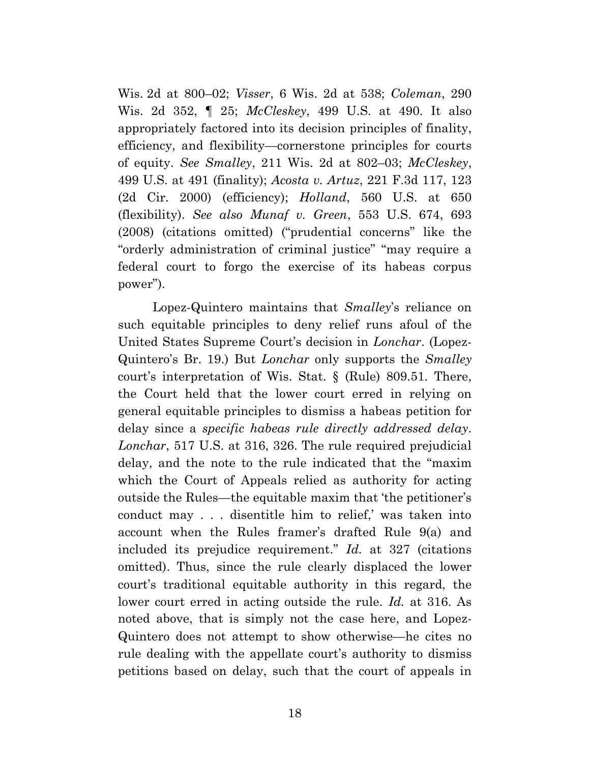Wis. 2d at 800–02; *Visser*, 6 Wis. 2d at 538; *Coleman*, 290 Wis. 2d 352, ¶ 25; *McCleskey*, 499 U.S. at 490. It also appropriately factored into its decision principles of finality, efficiency, and flexibility—cornerstone principles for courts of equity. *See Smalley*, 211 Wis. 2d at 802–03; *McCleskey*, 499 U.S. at 491 (finality); *Acosta v. Artuz*, 221 F.3d 117, 123 (2d Cir. 2000) (efficiency); *Holland*, 560 U.S. at 650 (flexibility). *See also Munaf v. Green*, 553 U.S. 674, 693 (2008) (citations omitted) ("prudential concerns" like the "orderly administration of criminal justice" "may require a federal court to forgo the exercise of its habeas corpus power").

Lopez-Quintero maintains that *Smalley*'s reliance on such equitable principles to deny relief runs afoul of the United States Supreme Court's decision in *Lonchar*. (Lopez-Quintero's Br. 19.) But *Lonchar* only supports the *Smalley* court's interpretation of Wis. Stat. § (Rule) 809.51. There, the Court held that the lower court erred in relying on general equitable principles to dismiss a habeas petition for delay since a *specific habeas rule directly addressed delay*. *Lonchar*, 517 U.S. at 316, 326. The rule required prejudicial delay, and the note to the rule indicated that the "maxim which the Court of Appeals relied as authority for acting outside the Rules—the equitable maxim that 'the petitioner's conduct may . . . disentitle him to relief,' was taken into account when the Rules framer's drafted Rule 9(a) and included its prejudice requirement." *Id.* at 327 (citations omitted). Thus, since the rule clearly displaced the lower court's traditional equitable authority in this regard, the lower court erred in acting outside the rule. *Id.* at 316. As noted above, that is simply not the case here, and Lopez-Quintero does not attempt to show otherwise—he cites no rule dealing with the appellate court's authority to dismiss petitions based on delay, such that the court of appeals in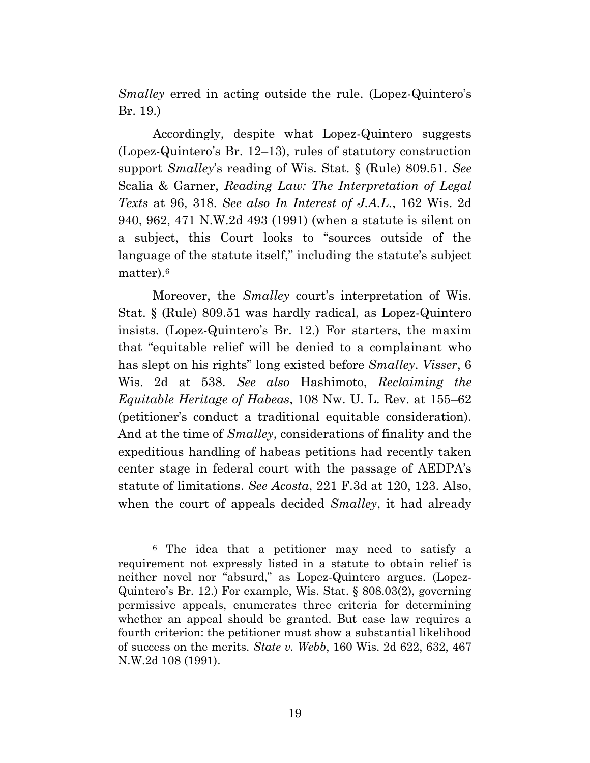*Smalley* erred in acting outside the rule. (Lopez-Quintero's Br. 19.)

Accordingly, despite what Lopez-Quintero suggests (Lopez-Quintero's Br. 12–13), rules of statutory construction support *Smalley*'s reading of Wis. Stat. § (Rule) 809.51. *See*  Scalia & Garner, *Reading Law: The Interpretation of Legal Texts* at 96, 318. *See also In Interest of J.A.L.*, 162 Wis. 2d 940, 962, 471 N.W.2d 493 (1991) (when a statute is silent on a subject, this Court looks to "sources outside of the language of the statute itself," including the statute's subject matter).<sup>6</sup>

Moreover, the *Smalley* court's interpretation of Wis. Stat. § (Rule) 809.51 was hardly radical, as Lopez-Quintero insists. (Lopez-Quintero's Br. 12.) For starters, the maxim that "equitable relief will be denied to a complainant who has slept on his rights" long existed before *Smalley*. *Visser*, 6 Wis. 2d at 538. *See also* Hashimoto, *Reclaiming the Equitable Heritage of Habeas*, 108 Nw. U. L. Rev. at 155–62 (petitioner's conduct a traditional equitable consideration). And at the time of *Smalley*, considerations of finality and the expeditious handling of habeas petitions had recently taken center stage in federal court with the passage of AEDPA's statute of limitations. *See Acosta*, 221 F.3d at 120, 123. Also, when the court of appeals decided *Smalley*, it had already

<sup>6</sup> The idea that a petitioner may need to satisfy a requirement not expressly listed in a statute to obtain relief is neither novel nor "absurd," as Lopez-Quintero argues. (Lopez-Quintero's Br. 12.) For example, Wis. Stat. § 808.03(2), governing permissive appeals, enumerates three criteria for determining whether an appeal should be granted. But case law requires a fourth criterion: the petitioner must show a substantial likelihood of success on the merits. *State v. Webb*, 160 Wis. 2d 622, 632, 467 N.W.2d 108 (1991).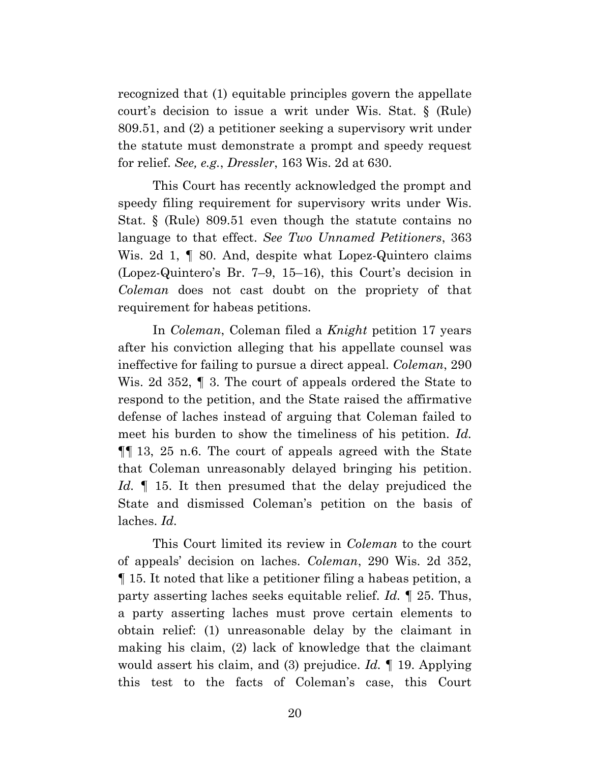recognized that (1) equitable principles govern the appellate court's decision to issue a writ under Wis. Stat. § (Rule) 809.51, and (2) a petitioner seeking a supervisory writ under the statute must demonstrate a prompt and speedy request for relief. *See, e.g.*, *Dressler*, 163 Wis. 2d at 630.

This Court has recently acknowledged the prompt and speedy filing requirement for supervisory writs under Wis. Stat. § (Rule) 809.51 even though the statute contains no language to that effect. *See Two Unnamed Petitioners*, 363 Wis. 2d 1,  $\parallel$  80. And, despite what Lopez-Quintero claims (Lopez-Quintero's Br. 7–9, 15–16), this Court's decision in *Coleman* does not cast doubt on the propriety of that requirement for habeas petitions.

In *Coleman*, Coleman filed a *Knight* petition 17 years after his conviction alleging that his appellate counsel was ineffective for failing to pursue a direct appeal. *Coleman*, 290 Wis. 2d 352, ¶ 3. The court of appeals ordered the State to respond to the petition, and the State raised the affirmative defense of laches instead of arguing that Coleman failed to meet his burden to show the timeliness of his petition. *Id.*  ¶¶ 13, 25 n.6. The court of appeals agreed with the State that Coleman unreasonably delayed bringing his petition. *Id.* ¶ 15. It then presumed that the delay prejudiced the State and dismissed Coleman's petition on the basis of laches. *Id.*

This Court limited its review in *Coleman* to the court of appeals' decision on laches. *Coleman*, 290 Wis. 2d 352, ¶ 15. It noted that like a petitioner filing a habeas petition, a party asserting laches seeks equitable relief. *Id.* ¶ 25. Thus, a party asserting laches must prove certain elements to obtain relief: (1) unreasonable delay by the claimant in making his claim, (2) lack of knowledge that the claimant would assert his claim, and (3) prejudice. *Id.* ¶ 19. Applying this test to the facts of Coleman's case, this Court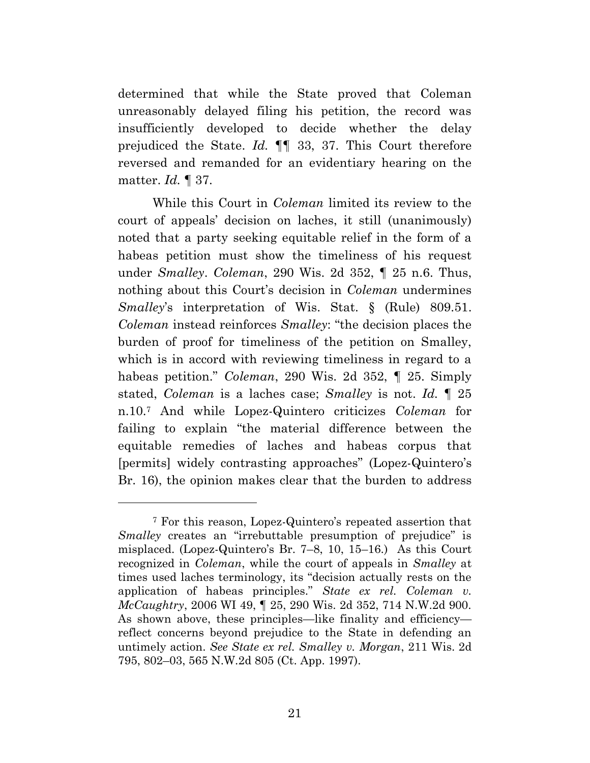determined that while the State proved that Coleman unreasonably delayed filing his petition, the record was insufficiently developed to decide whether the delay prejudiced the State. *Id.* ¶¶ 33, 37. This Court therefore reversed and remanded for an evidentiary hearing on the matter. *Id.* ¶ 37.

While this Court in *Coleman* limited its review to the court of appeals' decision on laches, it still (unanimously) noted that a party seeking equitable relief in the form of a habeas petition must show the timeliness of his request under *Smalley*. *Coleman*, 290 Wis. 2d 352, ¶ 25 n.6. Thus, nothing about this Court's decision in *Coleman* undermines *Smalley*'s interpretation of Wis. Stat. § (Rule) 809.51. *Coleman* instead reinforces *Smalley*: "the decision places the burden of proof for timeliness of the petition on Smalley, which is in accord with reviewing timeliness in regard to a habeas petition." *Coleman*, 290 Wis. 2d 352, ¶ 25. Simply stated, *Coleman* is a laches case; *Smalley* is not. *Id.* ¶ 25 n.10.<sup>7</sup> And while Lopez-Quintero criticizes *Coleman* for failing to explain "the material difference between the equitable remedies of laches and habeas corpus that [permits] widely contrasting approaches" (Lopez-Quintero's Br. 16), the opinion makes clear that the burden to address

<sup>7</sup> For this reason, Lopez-Quintero's repeated assertion that *Smalley* creates an "irrebuttable presumption of prejudice" is misplaced. (Lopez-Quintero's Br. 7–8, 10, 15–16.) As this Court recognized in *Coleman*, while the court of appeals in *Smalley* at times used laches terminology, its "decision actually rests on the application of habeas principles." *State ex rel. Coleman v. McCaughtry*, 2006 WI 49, ¶ 25, 290 Wis. 2d 352, 714 N.W.2d 900. As shown above, these principles—like finality and efficiency reflect concerns beyond prejudice to the State in defending an untimely action. *See State ex rel. Smalley v. Morgan*, 211 Wis. 2d 795, 802–03, 565 N.W.2d 805 (Ct. App. 1997).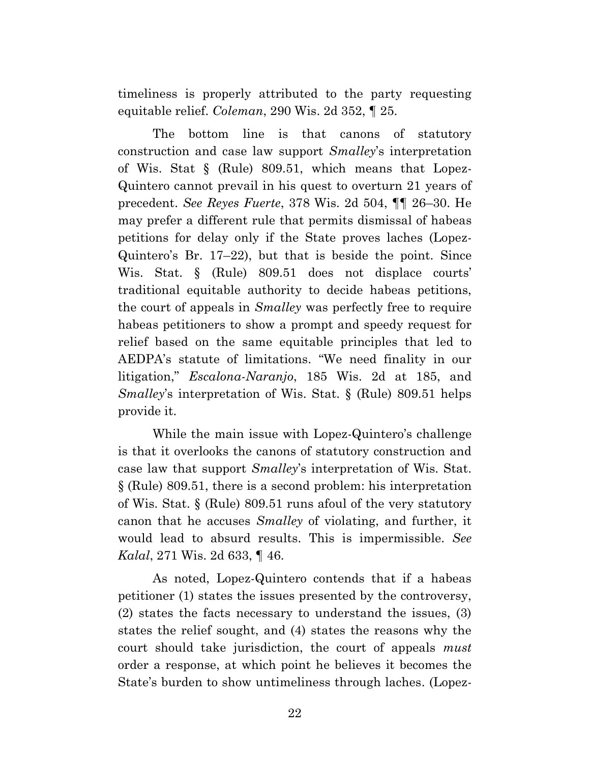timeliness is properly attributed to the party requesting equitable relief. *Coleman*, 290 Wis. 2d 352, ¶ 25.

The bottom line is that canons of statutory construction and case law support *Smalley*'s interpretation of Wis. Stat § (Rule) 809.51, which means that Lopez-Quintero cannot prevail in his quest to overturn 21 years of precedent. *See Reyes Fuerte*, 378 Wis. 2d 504, ¶¶ 26–30. He may prefer a different rule that permits dismissal of habeas petitions for delay only if the State proves laches (Lopez-Quintero's Br. 17–22), but that is beside the point. Since Wis. Stat. § (Rule) 809.51 does not displace courts' traditional equitable authority to decide habeas petitions, the court of appeals in *Smalley* was perfectly free to require habeas petitioners to show a prompt and speedy request for relief based on the same equitable principles that led to AEDPA's statute of limitations. "We need finality in our litigation," *Escalona-Naranjo*, 185 Wis. 2d at 185, and *Smalley*'s interpretation of Wis. Stat. § (Rule) 809.51 helps provide it.

While the main issue with Lopez-Quintero's challenge is that it overlooks the canons of statutory construction and case law that support *Smalley*'s interpretation of Wis. Stat. § (Rule) 809.51, there is a second problem: his interpretation of Wis. Stat. § (Rule) 809.51 runs afoul of the very statutory canon that he accuses *Smalley* of violating, and further, it would lead to absurd results. This is impermissible. *See Kalal*, 271 Wis. 2d 633, ¶ 46.

As noted, Lopez-Quintero contends that if a habeas petitioner (1) states the issues presented by the controversy, (2) states the facts necessary to understand the issues, (3) states the relief sought, and (4) states the reasons why the court should take jurisdiction, the court of appeals *must* order a response, at which point he believes it becomes the State's burden to show untimeliness through laches. (Lopez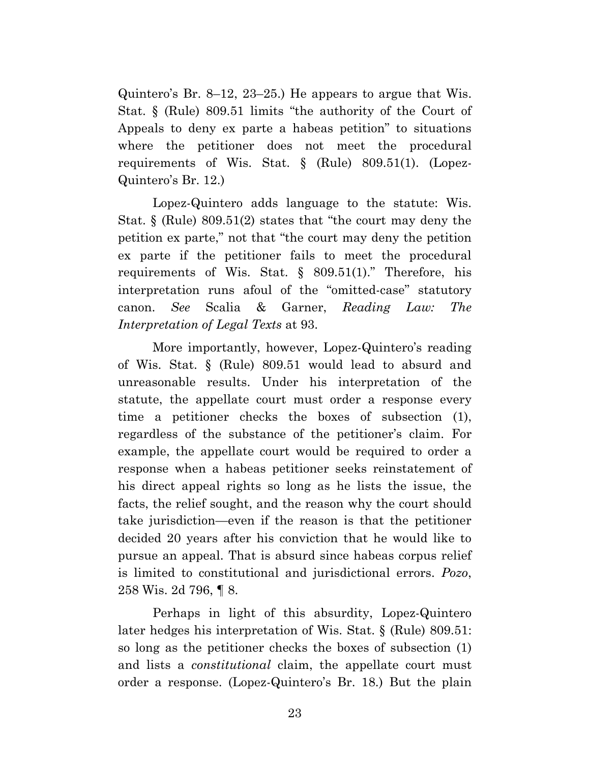Quintero's Br. 8–12, 23–25.) He appears to argue that Wis. Stat. § (Rule) 809.51 limits "the authority of the Court of Appeals to deny ex parte a habeas petition" to situations where the petitioner does not meet the procedural requirements of Wis. Stat. § (Rule) 809.51(1). (Lopez-Quintero's Br. 12.)

Lopez-Quintero adds language to the statute: Wis. Stat. § (Rule) 809.51(2) states that "the court may deny the petition ex parte," not that "the court may deny the petition ex parte if the petitioner fails to meet the procedural requirements of Wis. Stat.  $\S$  809.51(1)." Therefore, his interpretation runs afoul of the "omitted-case" statutory canon. *See* Scalia & Garner, *Reading Law: The Interpretation of Legal Texts* at 93.

More importantly, however, Lopez-Quintero's reading of Wis. Stat. § (Rule) 809.51 would lead to absurd and unreasonable results. Under his interpretation of the statute, the appellate court must order a response every time a petitioner checks the boxes of subsection (1), regardless of the substance of the petitioner's claim. For example, the appellate court would be required to order a response when a habeas petitioner seeks reinstatement of his direct appeal rights so long as he lists the issue, the facts, the relief sought, and the reason why the court should take jurisdiction—even if the reason is that the petitioner decided 20 years after his conviction that he would like to pursue an appeal. That is absurd since habeas corpus relief is limited to constitutional and jurisdictional errors. *Pozo*, 258 Wis. 2d 796, ¶ 8.

Perhaps in light of this absurdity, Lopez-Quintero later hedges his interpretation of Wis. Stat. § (Rule) 809.51: so long as the petitioner checks the boxes of subsection (1) and lists a *constitutional* claim, the appellate court must order a response. (Lopez-Quintero's Br. 18.) But the plain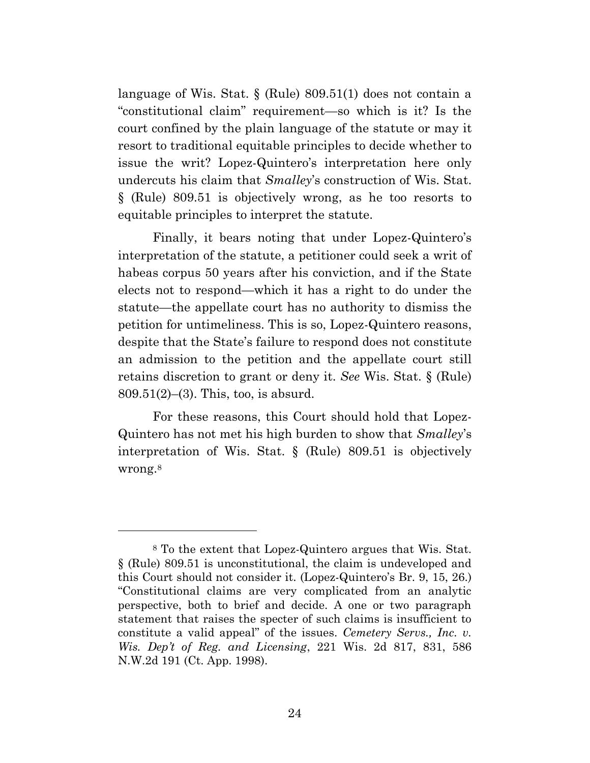language of Wis. Stat. § (Rule) 809.51(1) does not contain a "constitutional claim" requirement—so which is it? Is the court confined by the plain language of the statute or may it resort to traditional equitable principles to decide whether to issue the writ? Lopez-Quintero's interpretation here only undercuts his claim that *Smalley*'s construction of Wis. Stat. § (Rule) 809.51 is objectively wrong, as he too resorts to equitable principles to interpret the statute.

Finally, it bears noting that under Lopez-Quintero's interpretation of the statute, a petitioner could seek a writ of habeas corpus 50 years after his conviction, and if the State elects not to respond—which it has a right to do under the statute—the appellate court has no authority to dismiss the petition for untimeliness. This is so, Lopez-Quintero reasons, despite that the State's failure to respond does not constitute an admission to the petition and the appellate court still retains discretion to grant or deny it. *See* Wis. Stat. § (Rule) 809.51(2)–(3). This, too, is absurd.

For these reasons, this Court should hold that Lopez-Quintero has not met his high burden to show that *Smalley*'s interpretation of Wis. Stat. § (Rule) 809.51 is objectively wrong.<sup>8</sup>

<sup>8</sup> To the extent that Lopez-Quintero argues that Wis. Stat. § (Rule) 809.51 is unconstitutional, the claim is undeveloped and this Court should not consider it. (Lopez-Quintero's Br. 9, 15, 26.) "Constitutional claims are very complicated from an analytic perspective, both to brief and decide. A one or two paragraph statement that raises the specter of such claims is insufficient to constitute a valid appeal" of the issues. *Cemetery Servs., Inc. v. Wis. Dep't of Reg. and Licensing*, 221 Wis. 2d 817, 831, 586 N.W.2d 191 (Ct. App. 1998).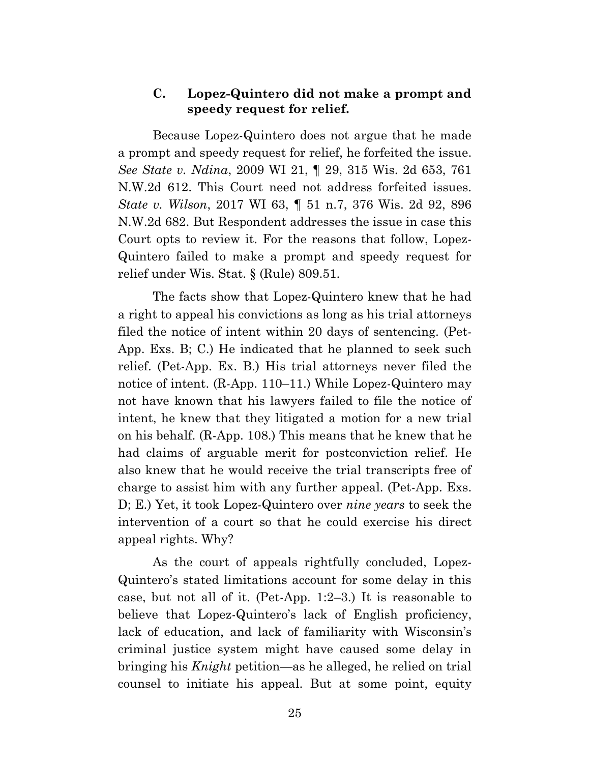### **C. Lopez-Quintero did not make a prompt and speedy request for relief.**

Because Lopez-Quintero does not argue that he made a prompt and speedy request for relief, he forfeited the issue. *See State v. Ndina*, 2009 WI 21, ¶ 29, 315 Wis. 2d 653, 761 N.W.2d 612. This Court need not address forfeited issues. *State v. Wilson*, 2017 WI 63, ¶ 51 n.7, 376 Wis. 2d 92, 896 N.W.2d 682. But Respondent addresses the issue in case this Court opts to review it. For the reasons that follow, Lopez-Quintero failed to make a prompt and speedy request for relief under Wis. Stat. § (Rule) 809.51.

The facts show that Lopez-Quintero knew that he had a right to appeal his convictions as long as his trial attorneys filed the notice of intent within 20 days of sentencing. (Pet-App. Exs. B; C.) He indicated that he planned to seek such relief. (Pet-App. Ex. B.) His trial attorneys never filed the notice of intent. (R-App. 110–11.) While Lopez-Quintero may not have known that his lawyers failed to file the notice of intent, he knew that they litigated a motion for a new trial on his behalf. (R-App. 108.) This means that he knew that he had claims of arguable merit for postconviction relief. He also knew that he would receive the trial transcripts free of charge to assist him with any further appeal. (Pet-App. Exs. D; E.) Yet, it took Lopez-Quintero over *nine years* to seek the intervention of a court so that he could exercise his direct appeal rights. Why?

As the court of appeals rightfully concluded, Lopez-Quintero's stated limitations account for some delay in this case, but not all of it. (Pet-App. 1:2–3.) It is reasonable to believe that Lopez-Quintero's lack of English proficiency, lack of education, and lack of familiarity with Wisconsin's criminal justice system might have caused some delay in bringing his *Knight* petition—as he alleged, he relied on trial counsel to initiate his appeal. But at some point, equity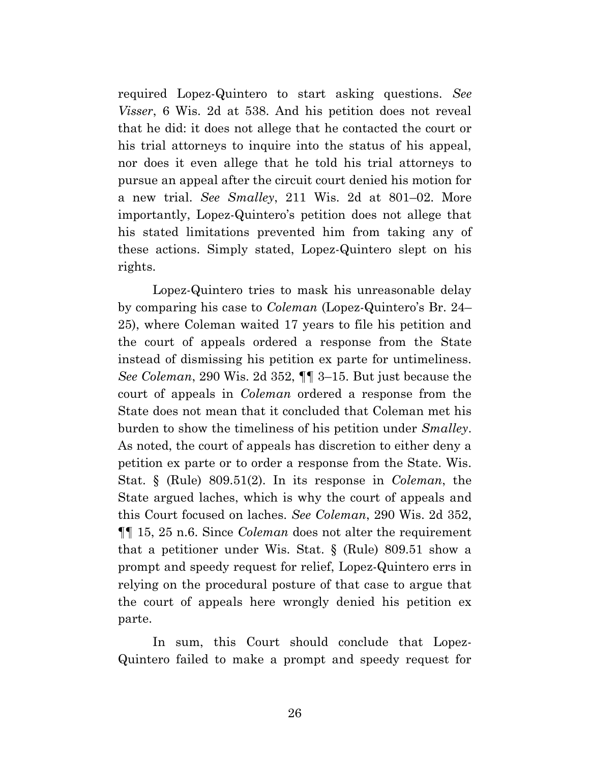required Lopez-Quintero to start asking questions. *See Visser*, 6 Wis. 2d at 538. And his petition does not reveal that he did: it does not allege that he contacted the court or his trial attorneys to inquire into the status of his appeal, nor does it even allege that he told his trial attorneys to pursue an appeal after the circuit court denied his motion for a new trial. *See Smalley*, 211 Wis. 2d at 801–02. More importantly, Lopez-Quintero's petition does not allege that his stated limitations prevented him from taking any of these actions. Simply stated, Lopez-Quintero slept on his rights.

Lopez-Quintero tries to mask his unreasonable delay by comparing his case to *Coleman* (Lopez-Quintero's Br. 24– 25), where Coleman waited 17 years to file his petition and the court of appeals ordered a response from the State instead of dismissing his petition ex parte for untimeliness. *See Coleman*, 290 Wis. 2d 352, ¶¶ 3–15. But just because the court of appeals in *Coleman* ordered a response from the State does not mean that it concluded that Coleman met his burden to show the timeliness of his petition under *Smalley*. As noted, the court of appeals has discretion to either deny a petition ex parte or to order a response from the State. Wis. Stat. § (Rule) 809.51(2). In its response in *Coleman*, the State argued laches, which is why the court of appeals and this Court focused on laches. *See Coleman*, 290 Wis. 2d 352, ¶¶ 15, 25 n.6. Since *Coleman* does not alter the requirement that a petitioner under Wis. Stat. § (Rule) 809.51 show a prompt and speedy request for relief, Lopez-Quintero errs in relying on the procedural posture of that case to argue that the court of appeals here wrongly denied his petition ex parte.

In sum, this Court should conclude that Lopez-Quintero failed to make a prompt and speedy request for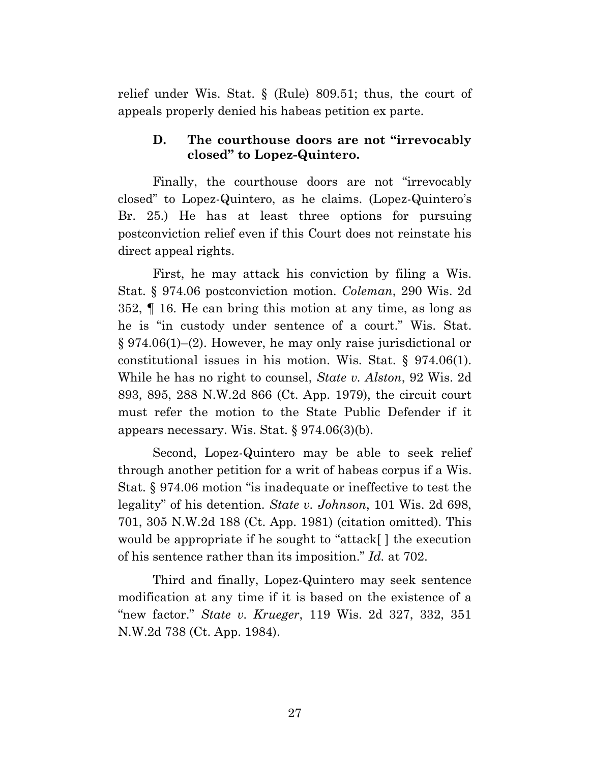relief under Wis. Stat. § (Rule) 809.51; thus, the court of appeals properly denied his habeas petition ex parte.

# **D. The courthouse doors are not "irrevocably closed" to Lopez-Quintero.**

Finally, the courthouse doors are not "irrevocably closed" to Lopez-Quintero, as he claims. (Lopez-Quintero's Br. 25.) He has at least three options for pursuing postconviction relief even if this Court does not reinstate his direct appeal rights.

First, he may attack his conviction by filing a Wis. Stat. § 974.06 postconviction motion. *Coleman*, 290 Wis. 2d 352, ¶ 16. He can bring this motion at any time, as long as he is "in custody under sentence of a court." Wis. Stat. § 974.06(1)–(2). However, he may only raise jurisdictional or constitutional issues in his motion. Wis. Stat. § 974.06(1). While he has no right to counsel, *State v. Alston*, 92 Wis. 2d 893, 895, 288 N.W.2d 866 (Ct. App. 1979), the circuit court must refer the motion to the State Public Defender if it appears necessary. Wis. Stat. § 974.06(3)(b).

Second, Lopez-Quintero may be able to seek relief through another petition for a writ of habeas corpus if a Wis. Stat. § 974.06 motion "is inadequate or ineffective to test the legality" of his detention. *State v. Johnson*, 101 Wis. 2d 698, 701, 305 N.W.2d 188 (Ct. App. 1981) (citation omitted). This would be appropriate if he sought to "attack[ ] the execution of his sentence rather than its imposition." *Id.* at 702.

Third and finally, Lopez-Quintero may seek sentence modification at any time if it is based on the existence of a "new factor." *State v. Krueger*, 119 Wis. 2d 327, 332, 351 N.W.2d 738 (Ct. App. 1984).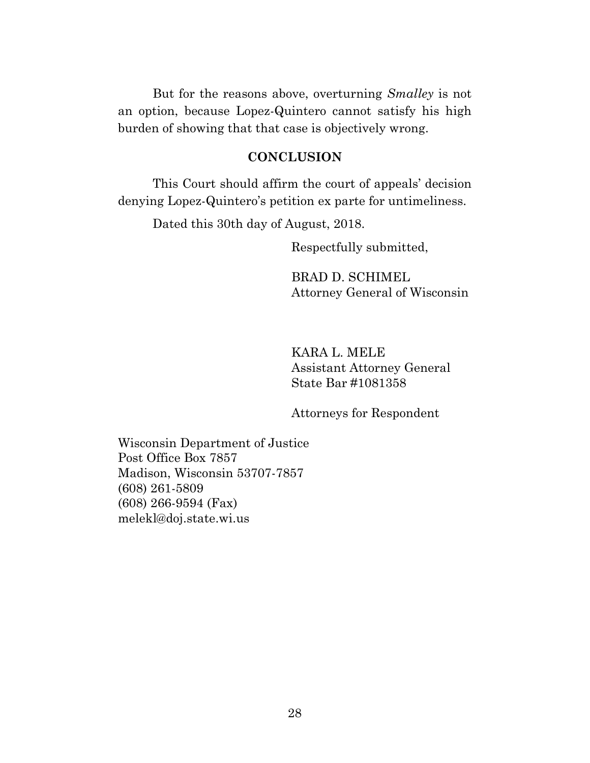But for the reasons above, overturning *Smalley* is not an option, because Lopez-Quintero cannot satisfy his high burden of showing that that case is objectively wrong.

#### **CONCLUSION**

This Court should affirm the court of appeals' decision denying Lopez-Quintero's petition ex parte for untimeliness.

Dated this 30th day of August, 2018.

Respectfully submitted,

BRAD D. SCHIMEL Attorney General of Wisconsin

KARA L. MELE Assistant Attorney General State Bar #1081358

Attorneys for Respondent

Wisconsin Department of Justice Post Office Box 7857 Madison, Wisconsin 53707-7857 (608) 261-5809 (608) 266-9594 (Fax) melekl@doj.state.wi.us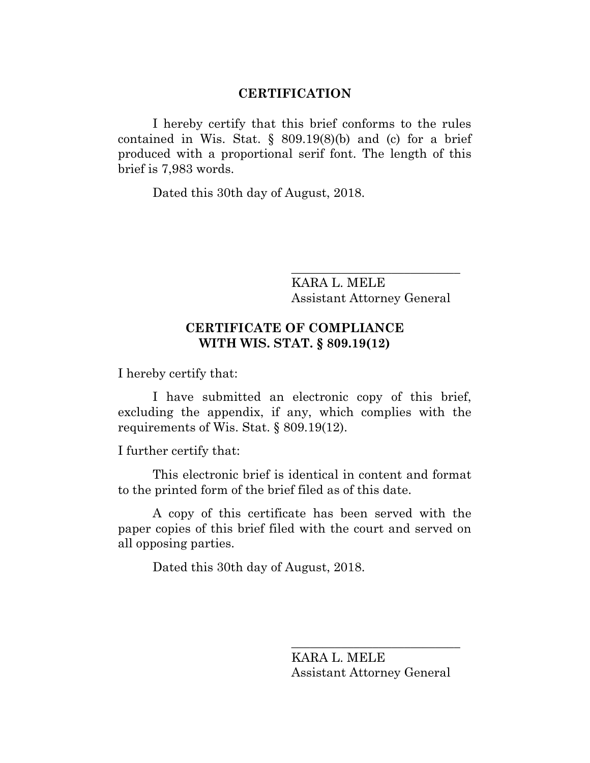#### **CERTIFICATION**

I hereby certify that this brief conforms to the rules contained in Wis. Stat.  $\S$  809.19(8)(b) and (c) for a brief produced with a proportional serif font. The length of this brief is 7,983 words.

Dated this 30th day of August, 2018.

KARA L. MELE Assistant Attorney General

\_\_\_\_\_\_\_\_\_\_\_\_\_\_\_\_\_\_\_\_\_\_\_\_\_\_\_

# **CERTIFICATE OF COMPLIANCE WITH WIS. STAT. § 809.19(12)**

I hereby certify that:

I have submitted an electronic copy of this brief, excluding the appendix, if any, which complies with the requirements of Wis. Stat. § 809.19(12).

I further certify that:

This electronic brief is identical in content and format to the printed form of the brief filed as of this date.

A copy of this certificate has been served with the paper copies of this brief filed with the court and served on all opposing parties.

Dated this 30th day of August, 2018.

KARA L. MELE Assistant Attorney General

\_\_\_\_\_\_\_\_\_\_\_\_\_\_\_\_\_\_\_\_\_\_\_\_\_\_\_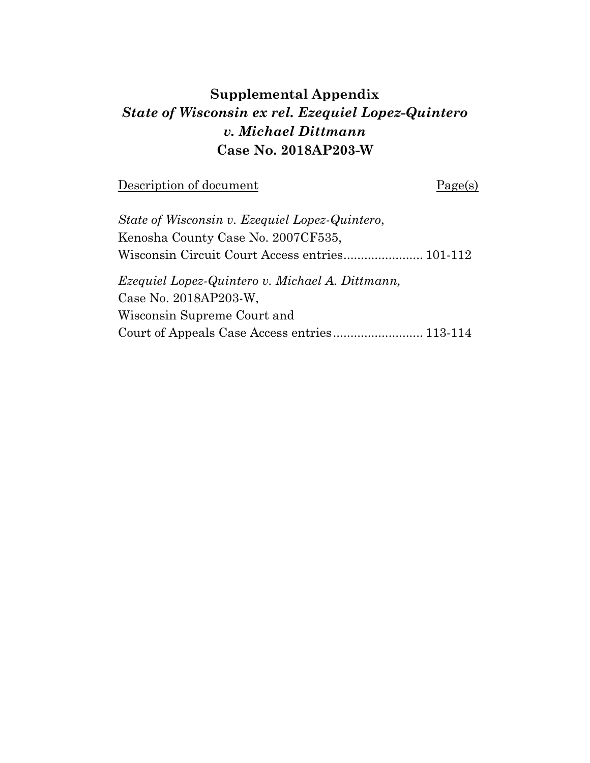# **Supplemental Appendix** *State of Wisconsin ex rel. Ezequiel Lopez-Quintero v. Michael Dittmann* **Case No. 2018AP203-W**

Description of document Page(s)

| State of Wisconsin v. Ezequiel Lopez-Quintero,  |  |
|-------------------------------------------------|--|
| Kenosha County Case No. 2007CF535,              |  |
|                                                 |  |
| Ezequiel Lopez-Quintero v. Michael A. Dittmann, |  |
| Case No. 2018AP203-W.                           |  |
| Wisconsin Supreme Court and                     |  |
|                                                 |  |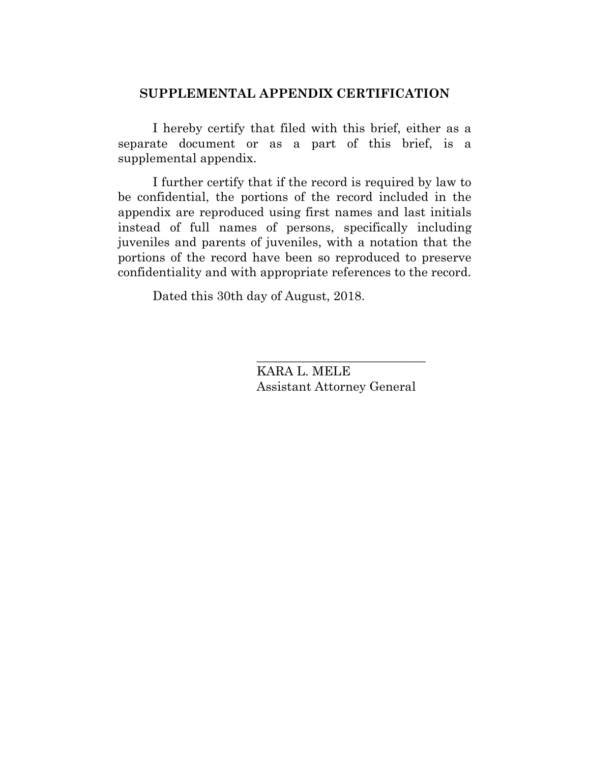### **SUPPLEMENTAL APPENDIX CERTIFICATION**

I hereby certify that filed with this brief, either as a separate document or as a part of this brief, is a supplemental appendix.

I further certify that if the record is required by law to be confidential, the portions of the record included in the appendix are reproduced using first names and last initials instead of full names of persons, specifically including juveniles and parents of juveniles, with a notation that the portions of the record have been so reproduced to preserve confidentiality and with appropriate references to the record.

Dated this 30th day of August, 2018.

KARA L. MELE Assistant Attorney General

\_\_\_\_\_\_\_\_\_\_\_\_\_\_\_\_\_\_\_\_\_\_\_\_\_\_\_